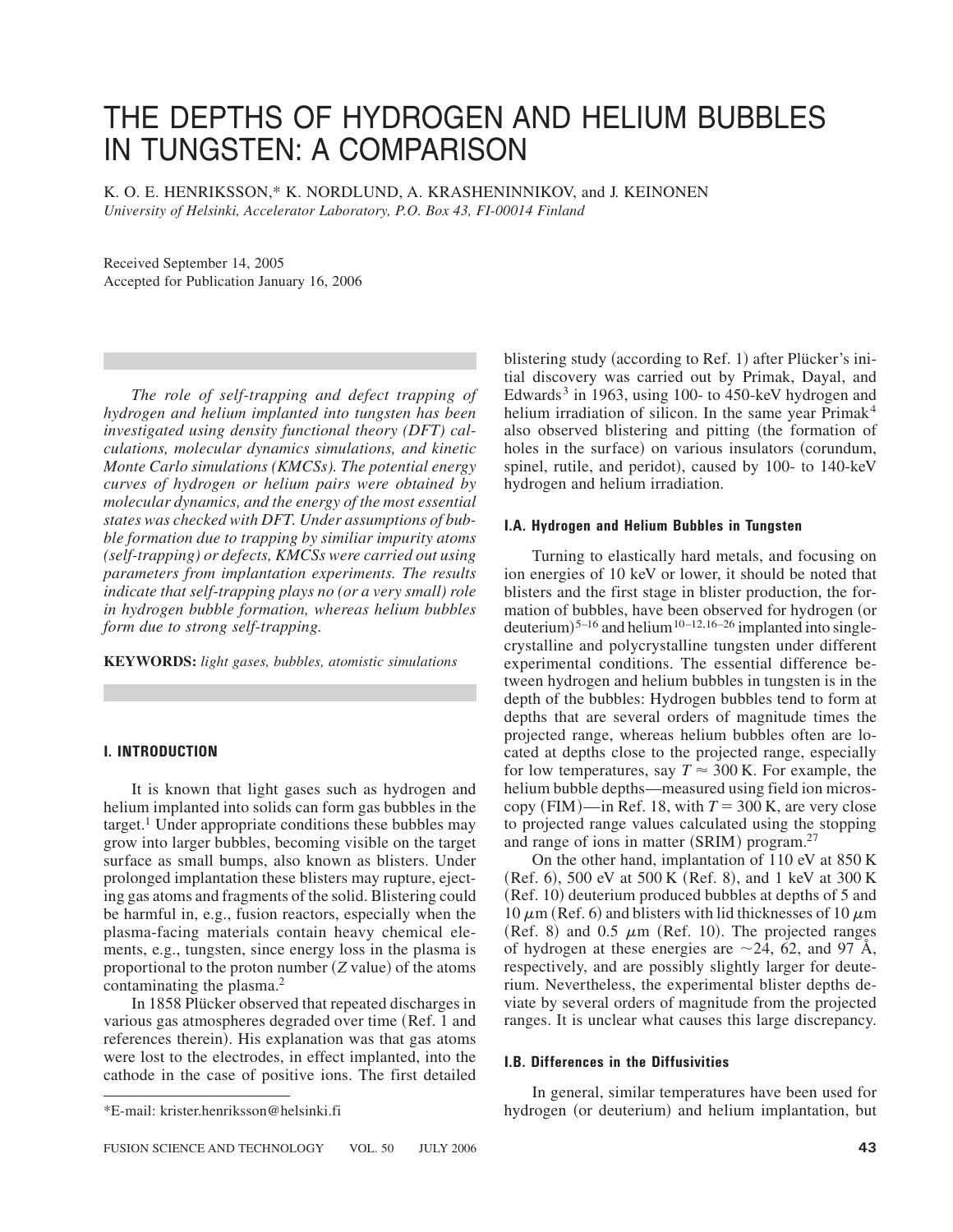# THE DEPTHS OF HYDROGEN AND HELIUM BUBBLES IN TUNGSTEN: A COMPARISON

K. O. E. HENRIKSSON,\* K. NORDLUND, A. KRASHENINNIKOV, and J. KEINONEN *University of Helsinki, Accelerator Laboratory, P.O. Box 43, FI-00014 Finland*

Received September 14, 2005 Accepted for Publication January 16, 2006

*The role of self-trapping and defect trapping of hydrogen and helium implanted into tungsten has been investigated using density functional theory (DFT) calculations, molecular dynamics simulations, and kinetic Monte Carlo simulations (KMCSs). The potential energy curves of hydrogen or helium pairs were obtained by molecular dynamics, and the energy of the most essential states was checked with DFT. Under assumptions of bubble formation due to trapping by similiar impurity atoms (self-trapping) or defects, KMCSs were carried out using parameters from implantation experiments. The results indicate that self-trapping plays no (or a very small) role in hydrogen bubble formation, whereas helium bubbles form due to strong self-trapping.*

**KEYWORDS:** *light gases, bubbles, atomistic simulations*

# **I. INTRODUCTION**

It is known that light gases such as hydrogen and helium implanted into solids can form gas bubbles in the target.1 Under appropriate conditions these bubbles may grow into larger bubbles, becoming visible on the target surface as small bumps, also known as blisters. Under prolonged implantation these blisters may rupture, ejecting gas atoms and fragments of the solid. Blistering could be harmful in, e.g., fusion reactors, especially when the plasma-facing materials contain heavy chemical elements, e.g., tungsten, since energy loss in the plasma is proportional to the proton number  $(Z$  value) of the atoms contaminating the plasma.<sup>2</sup>

In 1858 Plücker observed that repeated discharges in various gas atmospheres degraded over time (Ref. 1 and references therein). His explanation was that gas atoms were lost to the electrodes, in effect implanted, into the cathode in the case of positive ions. The first detailed

blistering study (according to Ref. 1) after Plücker's initial discovery was carried out by Primak, Dayal, and Edwards<sup>3</sup> in 1963, using 100- to 450-keV hydrogen and helium irradiation of silicon. In the same year  $Primak<sup>4</sup>$ also observed blistering and pitting (the formation of holes in the surface) on various insulators (corundum, spinel, rutile, and peridot), caused by 100- to 140-keV hydrogen and helium irradiation.

## **I.A. Hydrogen and Helium Bubbles in Tungsten**

Turning to elastically hard metals, and focusing on ion energies of 10 keV or lower, it should be noted that blisters and the first stage in blister production, the formation of bubbles, have been observed for hydrogen (or deuterium)<sup>5–16</sup> and helium<sup>10–12,16–26</sup> implanted into singlecrystalline and polycrystalline tungsten under different experimental conditions. The essential difference between hydrogen and helium bubbles in tungsten is in the depth of the bubbles: Hydrogen bubbles tend to form at depths that are several orders of magnitude times the projected range, whereas helium bubbles often are located at depths close to the projected range, especially for low temperatures, say  $T \approx 300$  K. For example, the helium bubble depths—measured using field ion microscopy (FIM)—in Ref. 18, with  $T = 300$  K, are very close to projected range values calculated using the stopping and range of ions in matter  $(SRIM)$  program.<sup>27</sup>

On the other hand, implantation of 110 eV at 850 K  $(Ref. 6)$ , 500 eV at 500 K  $(Ref. 8)$ , and 1 keV at 300 K  $(Ref. 10)$  deuterium produced bubbles at depths of 5 and  $10 \mu m$  (Ref. 6) and blisters with lid thicknesses of 10  $\mu$ m (Ref. 8) and 0.5  $\mu$ m (Ref. 10). The projected ranges of hydrogen at these energies are  $\sim$ 24, 62, and 97 Å, respectively, and are possibly slightly larger for deuterium. Nevertheless, the experimental blister depths deviate by several orders of magnitude from the projected ranges. It is unclear what causes this large discrepancy.

# **I.B. Differences in the Diffusivities**

In general, similar temperatures have been used for \*E-mail: krister.henriksson@helsinki.fi hydrogen (or deuterium) and helium implantation, but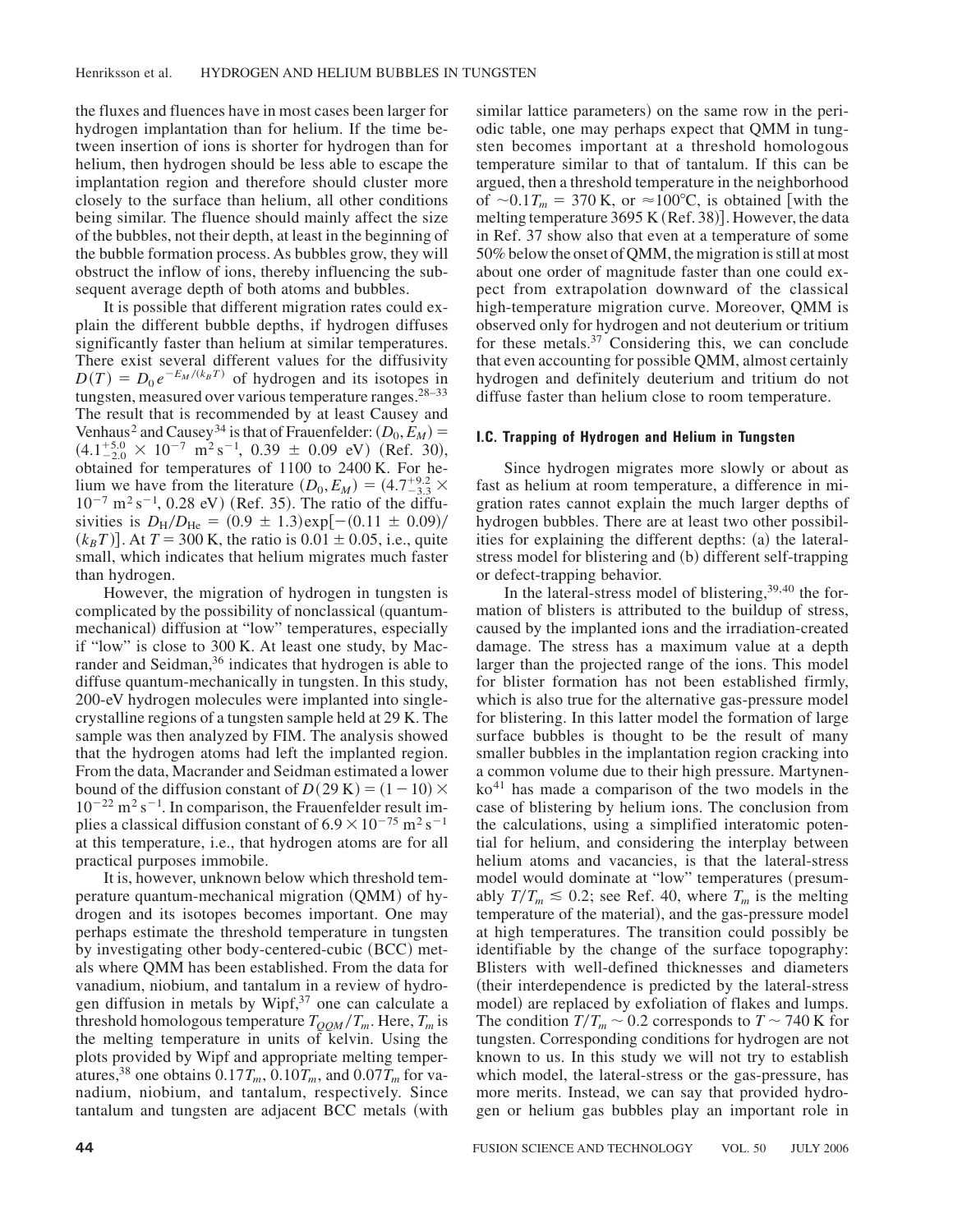the fluxes and fluences have in most cases been larger for hydrogen implantation than for helium. If the time between insertion of ions is shorter for hydrogen than for helium, then hydrogen should be less able to escape the implantation region and therefore should cluster more closely to the surface than helium, all other conditions being similar. The fluence should mainly affect the size of the bubbles, not their depth, at least in the beginning of the bubble formation process. As bubbles grow, they will obstruct the inflow of ions, thereby influencing the subsequent average depth of both atoms and bubbles.

It is possible that different migration rates could explain the different bubble depths, if hydrogen diffuses significantly faster than helium at similar temperatures. There exist several different values for the diffusivity  $D(T) = D_0 e^{-E_M/(k_B T)}$  of hydrogen and its isotopes in tungsten, measured over various temperature ranges. $28-33$ The result that is recommended by at least Causey and Venhaus<sup>2</sup> and Causey<sup>34</sup> is that of Frauenfelder:  $(D_0, E_M)$  =  $(4.1^{+5.0}_{-2.0} \times 10^{-7} \text{ m}^2 \text{s}^{-1}, 0.39 \pm 0.09 \text{ eV})$  (Ref. 30), obtained for temperatures of 1100 to 2400 K. For helium we have from the literature  $(D_0, E_M) = (4.7^{+9.2}_{-3.3} \times$  $10^{-7}$  m<sup>2</sup> s<sup>-1</sup>, 0.28 eV) (Ref. 35). The ratio of the diffusivities is  $D_{\text{H}}/D_{\text{He}} = (0.9 \pm 1.3) \exp[-(0.11 \pm 0.09)]$  $(k_BT)$ ]. At  $T = 300$  K, the ratio is  $0.01 \pm 0.05$ , i.e., quite small, which indicates that helium migrates much faster than hydrogen.

However, the migration of hydrogen in tungsten is complicated by the possibility of nonclassical (quantummechanical) diffusion at "low" temperatures, especially if "low" is close to 300 K. At least one study, by Macrander and Seidman,<sup>36</sup> indicates that hydrogen is able to diffuse quantum-mechanically in tungsten. In this study, 200-eV hydrogen molecules were implanted into singlecrystalline regions of a tungsten sample held at 29 K. The sample was then analyzed by FIM. The analysis showed that the hydrogen atoms had left the implanted region. From the data, Macrander and Seidman estimated a lower bound of the diffusion constant of  $D(29 \text{ K}) = (1 - 10) \times$  $10^{-22}$  m<sup>2</sup> s<sup>-1</sup>. In comparison, the Frauenfelder result implies a classical diffusion constant of  $6.9 \times 10^{-75}$  m<sup>2</sup> s<sup>-1</sup> at this temperature, i.e., that hydrogen atoms are for all practical purposes immobile.

It is, however, unknown below which threshold temperature quantum-mechanical migration  $(QMM)$  of hydrogen and its isotopes becomes important. One may perhaps estimate the threshold temperature in tungsten by investigating other body-centered-cubic (BCC) metals where QMM has been established. From the data for vanadium, niobium, and tantalum in a review of hydrogen diffusion in metals by Wipf,<sup>37</sup> one can calculate a threshold homologous temperature  $T_{COM}/T_m$ . Here,  $T_m$  is the melting temperature in units of kelvin. Using the plots provided by Wipf and appropriate melting temperatures,<sup>38</sup> one obtains  $0.17T_m$ ,  $0.10T_m$ , and  $0.07T_m$  for vanadium, niobium, and tantalum, respectively. Since tantalum and tungsten are adjacent BCC metals (with similar lattice parameters) on the same row in the periodic table, one may perhaps expect that QMM in tungsten becomes important at a threshold homologous temperature similar to that of tantalum. If this can be argued, then a threshold temperature in the neighborhood of  $\sim 0.1 T_m = 370$  K, or  $\approx 100$ °C, is obtained with the melting temperature  $3695 K (Ref. 38)$ . However, the data in Ref. 37 show also that even at a temperature of some 50% below the onset of QMM, the migration is still at most about one order of magnitude faster than one could expect from extrapolation downward of the classical high-temperature migration curve. Moreover, QMM is observed only for hydrogen and not deuterium or tritium for these metals. $37$  Considering this, we can conclude that even accounting for possible QMM, almost certainly hydrogen and definitely deuterium and tritium do not diffuse faster than helium close to room temperature.

## **I.C. Trapping of Hydrogen and Helium in Tungsten**

Since hydrogen migrates more slowly or about as fast as helium at room temperature, a difference in migration rates cannot explain the much larger depths of hydrogen bubbles. There are at least two other possibilities for explaining the different depths: (a) the lateralstress model for blistering and (b) different self-trapping or defect-trapping behavior.

In the lateral-stress model of blistering,  $39,40$  the formation of blisters is attributed to the buildup of stress, caused by the implanted ions and the irradiation-created damage. The stress has a maximum value at a depth larger than the projected range of the ions. This model for blister formation has not been established firmly, which is also true for the alternative gas-pressure model for blistering. In this latter model the formation of large surface bubbles is thought to be the result of many smaller bubbles in the implantation region cracking into a common volume due to their high pressure. Martynenko<sup>41</sup> has made a comparison of the two models in the case of blistering by helium ions. The conclusion from the calculations, using a simplified interatomic potential for helium, and considering the interplay between helium atoms and vacancies, is that the lateral-stress model would dominate at "low" temperatures (presumably  $T/T_m \le 0.2$ ; see Ref. 40, where  $T_m$  is the melting temperature of the material), and the gas-pressure model at high temperatures. The transition could possibly be identifiable by the change of the surface topography: Blisters with well-defined thicknesses and diameters (their interdependence is predicted by the lateral-stress model) are replaced by exfoliation of flakes and lumps. The condition  $T/T_m \sim 0.2$  corresponds to  $T \sim 740$  K for tungsten. Corresponding conditions for hydrogen are not known to us. In this study we will not try to establish which model, the lateral-stress or the gas-pressure, has more merits. Instead, we can say that provided hydrogen or helium gas bubbles play an important role in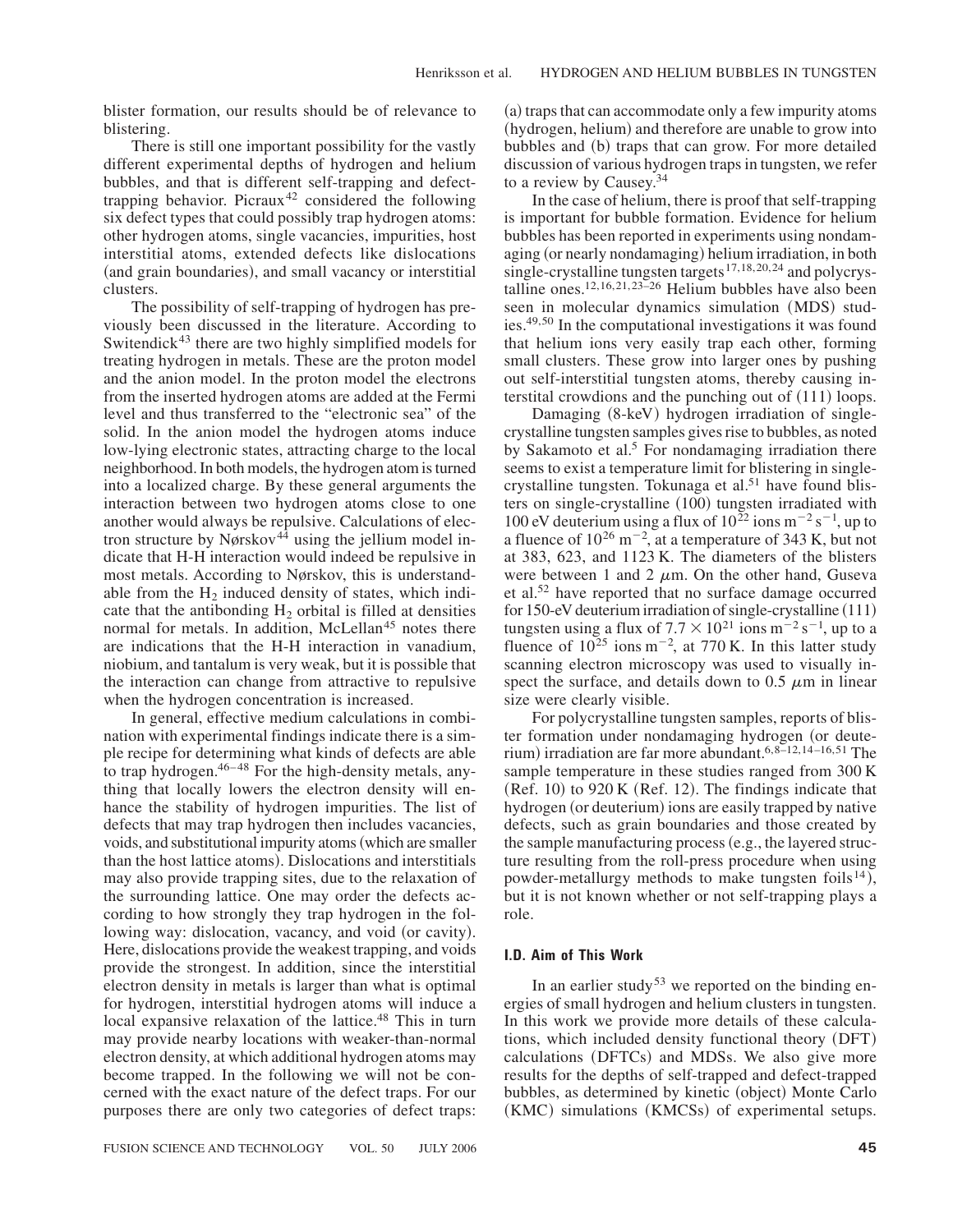blister formation, our results should be of relevance to blistering.

There is still one important possibility for the vastly different experimental depths of hydrogen and helium bubbles, and that is different self-trapping and defecttrapping behavior. Picraux<sup>42</sup> considered the following six defect types that could possibly trap hydrogen atoms: other hydrogen atoms, single vacancies, impurities, host interstitial atoms, extended defects like dislocations (and grain boundaries), and small vacancy or interstitial clusters.

The possibility of self-trapping of hydrogen has previously been discussed in the literature. According to Switendick $43$  there are two highly simplified models for treating hydrogen in metals. These are the proton model and the anion model. In the proton model the electrons from the inserted hydrogen atoms are added at the Fermi level and thus transferred to the "electronic sea" of the solid. In the anion model the hydrogen atoms induce low-lying electronic states, attracting charge to the local neighborhood. In both models, the hydrogen atom is turned into a localized charge. By these general arguments the interaction between two hydrogen atoms close to one another would always be repulsive. Calculations of electron structure by Nørskov $4\overline{4}$  using the jellium model indicate that H-H interaction would indeed be repulsive in most metals. According to Nørskov, this is understandable from the  $H_2$  induced density of states, which indicate that the antibonding  $H<sub>2</sub>$  orbital is filled at densities normal for metals. In addition, McLellan<sup>45</sup> notes there are indications that the H-H interaction in vanadium, niobium, and tantalum is very weak, but it is possible that the interaction can change from attractive to repulsive when the hydrogen concentration is increased.

In general, effective medium calculations in combination with experimental findings indicate there is a simple recipe for determining what kinds of defects are able to trap hydrogen. $46-48$  For the high-density metals, anything that locally lowers the electron density will enhance the stability of hydrogen impurities. The list of defects that may trap hydrogen then includes vacancies, voids, and substitutional impurity atoms (which are smaller than the host lattice atoms). Dislocations and interstitials may also provide trapping sites, due to the relaxation of the surrounding lattice. One may order the defects according to how strongly they trap hydrogen in the following way: dislocation, vacancy, and void (or cavity). Here, dislocations provide the weakest trapping, and voids provide the strongest. In addition, since the interstitial electron density in metals is larger than what is optimal for hydrogen, interstitial hydrogen atoms will induce a local expansive relaxation of the lattice.<sup>48</sup> This in turn may provide nearby locations with weaker-than-normal electron density, at which additional hydrogen atoms may become trapped. In the following we will not be concerned with the exact nature of the defect traps. For our purposes there are only two categories of defect traps:

(a) traps that can accommodate only a few impurity atoms (hydrogen, helium) and therefore are unable to grow into bubbles and (b) traps that can grow. For more detailed discussion of various hydrogen traps in tungsten, we refer to a review by Causey.34

In the case of helium, there is proof that self-trapping is important for bubble formation. Evidence for helium bubbles has been reported in experiments using nondamaging (or nearly nondamaging) helium irradiation, in both single-crystalline tungsten targets<sup>17,18,20,24</sup> and polycrystalline ones.12,16,21,23–26 Helium bubbles have also been seen in molecular dynamics simulation (MDS) studies.49,50 In the computational investigations it was found that helium ions very easily trap each other, forming small clusters. These grow into larger ones by pushing out self-interstitial tungsten atoms, thereby causing interstital crowdions and the punching out of  $(111)$  loops.

Damaging  $(8 \text{-} \text{keV})$  hydrogen irradiation of singlecrystalline tungsten samples gives rise to bubbles, as noted by Sakamoto et al.<sup>5</sup> For nondamaging irradiation there seems to exist a temperature limit for blistering in singlecrystalline tungsten. Tokunaga et al. $51$  have found blisters on single-crystalline  $(100)$  tungsten irradiated with 100 eV deuterium using a flux of  $10^{22}$  ions m<sup>-2</sup> s<sup>-1</sup>, up to a fluence of  $10^{26}$  m<sup>-2</sup>, at a temperature of 343 K, but not at 383, 623, and 1123 K. The diameters of the blisters were between 1 and 2  $\mu$ m. On the other hand, Guseva et al.52 have reported that no surface damage occurred for  $150$ -eV deuterium irradiation of single-crystalline  $(111)$ tungsten using a flux of  $7.7 \times 10^{21}$  ions m<sup>-2</sup> s<sup>-1</sup>, up to a fluence of  $10^{25}$  ions m<sup>-2</sup>, at 770 K. In this latter study scanning electron microscopy was used to visually inspect the surface, and details down to 0.5  $\mu$ m in linear size were clearly visible.

For polycrystalline tungsten samples, reports of blister formation under nondamaging hydrogen (or deuterium) irradiation are far more abundant.<sup>6,8–12,14–16,51</sup> The sample temperature in these studies ranged from 300 K  $(Ref. 10)$  to 920 K  $(Ref. 12)$ . The findings indicate that hydrogen (or deuterium) ions are easily trapped by native defects, such as grain boundaries and those created by the sample manufacturing process (e.g., the layered structure resulting from the roll-press procedure when using powder-metallurgy methods to make tungsten foils<sup>14</sup>), but it is not known whether or not self-trapping plays a role.

# **I.D. Aim of This Work**

In an earlier study<sup>53</sup> we reported on the binding energies of small hydrogen and helium clusters in tungsten. In this work we provide more details of these calculations, which included density functional theory (DFT) calculations (DFTCs) and MDSs. We also give more results for the depths of self-trapped and defect-trapped bubbles, as determined by kinetic (object) Monte Carlo  $(KMC)$  simulations  $(KMCSs)$  of experimental setups.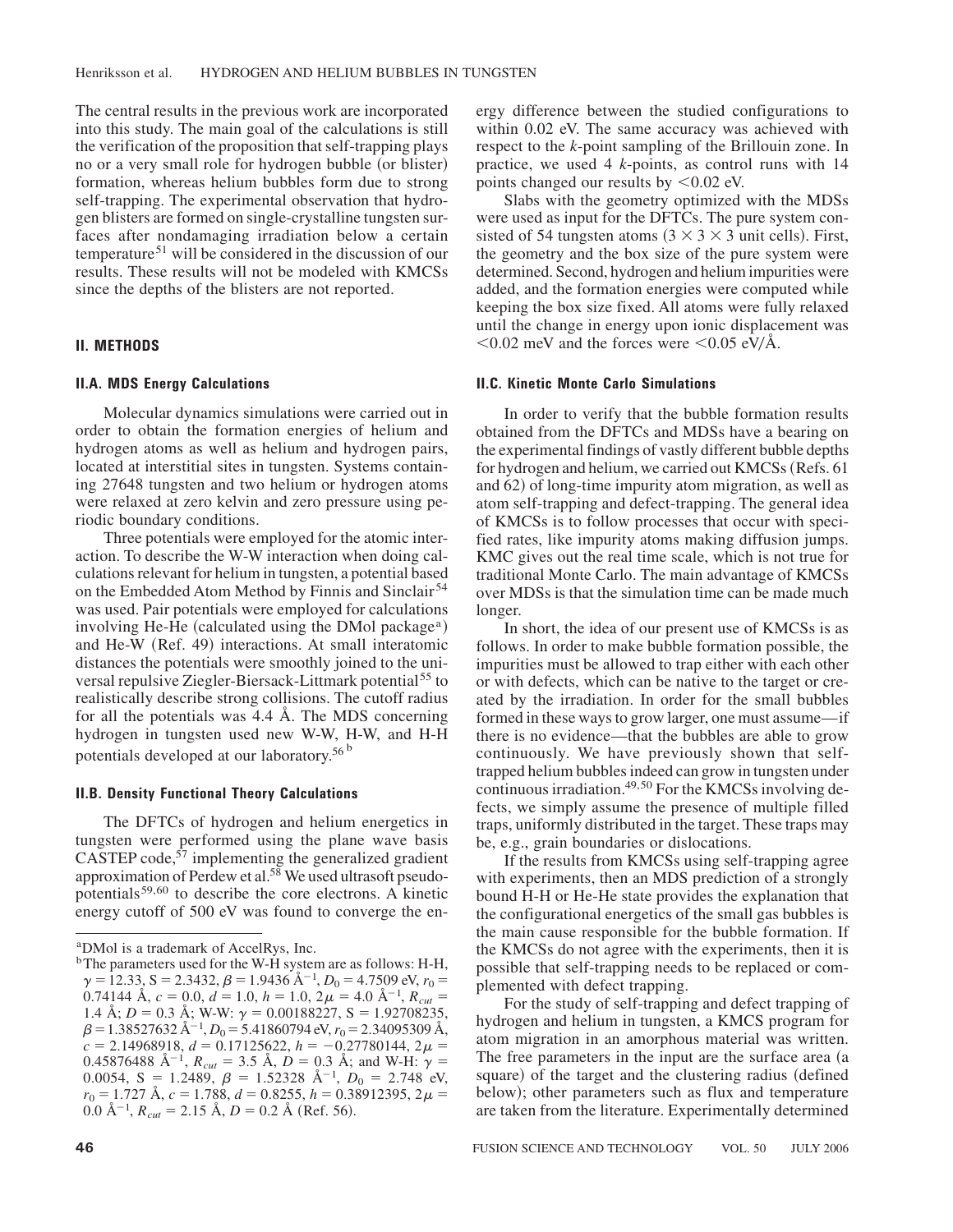The central results in the previous work are incorporated into this study. The main goal of the calculations is still the verification of the proposition that self-trapping plays no or a very small role for hydrogen bubble (or blister) formation, whereas helium bubbles form due to strong self-trapping. The experimental observation that hydrogen blisters are formed on single-crystalline tungsten surfaces after nondamaging irradiation below a certain temperature<sup>51</sup> will be considered in the discussion of our results. These results will not be modeled with KMCSs since the depths of the blisters are not reported.

## **II. METHODS**

## **II.A. MDS Energy Calculations**

Molecular dynamics simulations were carried out in order to obtain the formation energies of helium and hydrogen atoms as well as helium and hydrogen pairs, located at interstitial sites in tungsten. Systems containing 27648 tungsten and two helium or hydrogen atoms were relaxed at zero kelvin and zero pressure using periodic boundary conditions.

Three potentials were employed for the atomic interaction. To describe the W-W interaction when doing calculations relevant for helium in tungsten, a potential based on the Embedded Atom Method by Finnis and Sinclair<sup>54</sup> was used. Pair potentials were employed for calculations involving He-He (calculated using the DMol package<sup>a</sup>) and He-W (Ref. 49) interactions. At small interatomic distances the potentials were smoothly joined to the universal repulsive Ziegler-Biersack-Littmark potential<sup>55</sup> to realistically describe strong collisions. The cutoff radius for all the potentials was 4.4 Å. The MDS concerning hydrogen in tungsten used new W-W, H-W, and H-H potentials developed at our laboratory.<sup>56</sup><sup>b</sup>

#### **II.B. Density Functional Theory Calculations**

The DFTCs of hydrogen and helium energetics in tungsten were performed using the plane wave basis CASTEP code, $57$  implementing the generalized gradient approximation of Perdew et al.<sup>58</sup> We used ultrasoft pseudopotentials<sup>59,60</sup> to describe the core electrons. A kinetic energy cutoff of 500 eV was found to converge the en-

ergy difference between the studied configurations to within 0.02 eV. The same accuracy was achieved with respect to the *k*-point sampling of the Brillouin zone. In practice, we used 4 *k*-points, as control runs with 14 points changed our results by  $< 0.02$  eV.

Slabs with the geometry optimized with the MDSs were used as input for the DFTCs. The pure system consisted of 54 tungsten atoms  $(3 \times 3 \times 3$  unit cells). First, the geometry and the box size of the pure system were determined. Second, hydrogen and helium impurities were added, and the formation energies were computed while keeping the box size fixed. All atoms were fully relaxed until the change in energy upon ionic displacement was  $< 0.02$  meV and the forces were  $< 0.05$  eV/Å.

# **II.C. Kinetic Monte Carlo Simulations**

In order to verify that the bubble formation results obtained from the DFTCs and MDSs have a bearing on the experimental findings of vastly different bubble depths for hydrogen and helium, we carried out KMCSs (Refs. 61) and 62) of long-time impurity atom migration, as well as atom self-trapping and defect-trapping. The general idea of KMCSs is to follow processes that occur with specified rates, like impurity atoms making diffusion jumps. KMC gives out the real time scale, which is not true for traditional Monte Carlo. The main advantage of KMCSs over MDSs is that the simulation time can be made much longer.

In short, the idea of our present use of KMCSs is as follows. In order to make bubble formation possible, the impurities must be allowed to trap either with each other or with defects, which can be native to the target or created by the irradiation. In order for the small bubbles formed in these ways to grow larger, one must assume—if there is no evidence—that the bubbles are able to grow continuously. We have previously shown that selftrapped helium bubbles indeed can grow in tungsten under continuous irradiation.<sup>49,50</sup> For the KMCSs involving defects, we simply assume the presence of multiple filled traps, uniformly distributed in the target. These traps may be, e.g., grain boundaries or dislocations.

If the results from KMCSs using self-trapping agree with experiments, then an MDS prediction of a strongly bound H-H or He-He state provides the explanation that the configurational energetics of the small gas bubbles is the main cause responsible for the bubble formation. If the KMCSs do not agree with the experiments, then it is possible that self-trapping needs to be replaced or complemented with defect trapping.

For the study of self-trapping and defect trapping of hydrogen and helium in tungsten, a KMCS program for atom migration in an amorphous material was written. The free parameters in the input are the surface area (a square) of the target and the clustering radius (defined below); other parameters such as flux and temperature are taken from the literature. Experimentally determined

aDMol is a trademark of AccelRys, Inc.

bThe parameters used for the W-H system are as follows: H-H,  $\gamma = 12.33$ , S = 2.3432,  $\beta = 1.9436 \text{ Å}^{-1}$ ,  $D_0 = 4.7509 \text{ eV}$ ,  $r_0 =$  $0.74144 \text{ Å}, c = 0.0, d = 1.0, h = 1.0, 2\mu = 4.0 \text{ Å}^{-1}, R_{cut} =$ 1.4 Å;  $D = 0.3$  Å; W-W:  $\gamma = 0.00188227$ ,  $S = 1.92708235$ ,  $\beta$  = 1.38527632 Å<sup>-1</sup>,  $D_0$  = 5.41860794 eV,  $r_0$  = 2.34095309 Å,  $c = 2.14968918, d = 0.17125622, h = -0.27780144, 2\mu =$ 0.45876488 Å<sup>-1</sup>,  $R_{cut} = 3.5$  Å,  $D = 0.3$  Å; and W-H:  $\gamma =$ 0.0054, S = 1.2489,  $\beta$  = 1.52328 Å<sup>-1</sup>,  $D_0$  = 2.748 eV,  $r_0 = 1.727 \text{ Å}, c = 1.788, d = 0.8255, h = 0.38912395, 2 \mu =$  $0.0 \text{ Å}^{-1}$ ,  $R_{cut} = 2.15 \text{ Å}$ ,  $D = 0.2 \text{ Å}$  (Ref. 56).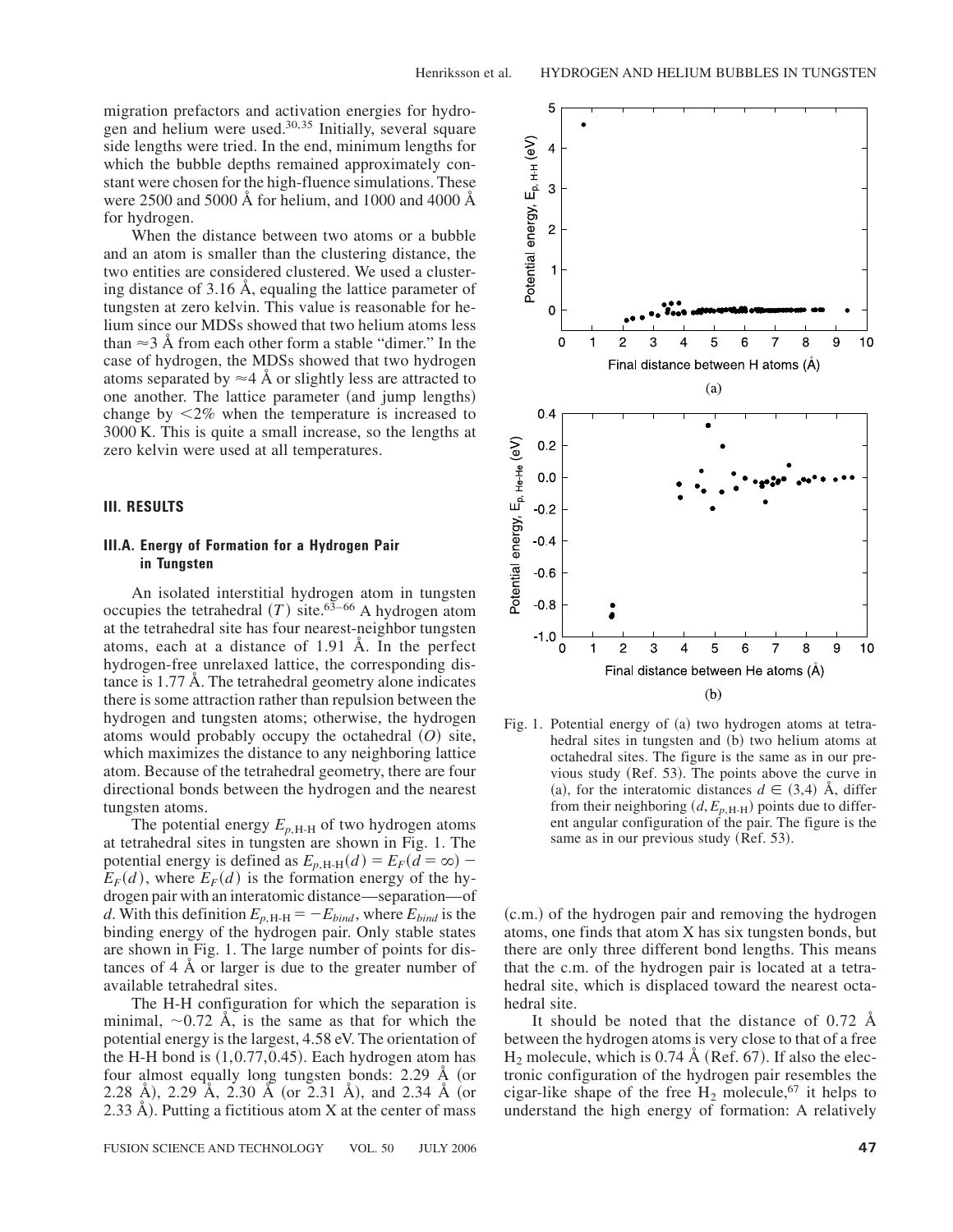migration prefactors and activation energies for hydrogen and helium were used.30,35 Initially, several square side lengths were tried. In the end, minimum lengths for which the bubble depths remained approximately constant were chosen for the high-fluence simulations. These were 2500 and 5000 Å for helium, and 1000 and 4000 Å for hydrogen.

When the distance between two atoms or a bubble and an atom is smaller than the clustering distance, the two entities are considered clustered. We used a clustering distance of 3.16 Å, equaling the lattice parameter of tungsten at zero kelvin. This value is reasonable for helium since our MDSs showed that two helium atoms less than  $\approx$  3 Å from each other form a stable "dimer." In the case of hydrogen, the MDSs showed that two hydrogen atoms separated by  $\approx$  4 Å or slightly less are attracted to one another. The lattice parameter (and jump lengths) change by  $\leq 2\%$  when the temperature is increased to 3000 K. This is quite a small increase, so the lengths at zero kelvin were used at all temperatures.

# **III. RESULTS**

# **III.A. Energy of Formation for a Hydrogen Pair in Tungsten**

An isolated interstitial hydrogen atom in tungsten occupies the tetrahedral  $(T)$  site.<sup>63–66</sup> A hydrogen atom at the tetrahedral site has four nearest-neighbor tungsten atoms, each at a distance of 1.91 Å. In the perfect hydrogen-free unrelaxed lattice, the corresponding distance is 1.77 Å. The tetrahedral geometry alone indicates there is some attraction rather than repulsion between the hydrogen and tungsten atoms; otherwise, the hydrogen atoms would probably occupy the octahedral  $(O)$  site, which maximizes the distance to any neighboring lattice atom. Because of the tetrahedral geometry, there are four directional bonds between the hydrogen and the nearest tungsten atoms.

The potential energy  $E_{p,\text{H-H}}$  of two hydrogen atoms at tetrahedral sites in tungsten are shown in Fig. 1. The potential energy is defined as  $E_{p,H-H}(d) = E_F(d = \infty)$  - $E_F(d)$ , where  $E_F(d)$  is the formation energy of the hydrogen pair with an interatomic distance—separation—of *d*. With this definition  $E_{p,H-H} = -E_{bind}$ , where  $E_{bind}$  is the binding energy of the hydrogen pair. Only stable states are shown in Fig. 1. The large number of points for distances of 4 Å or larger is due to the greater number of available tetrahedral sites.

The H-H configuration for which the separation is minimal,  $\sim 0.72$  Å, is the same as that for which the potential energy is the largest, 4.58 eV. The orientation of the H-H bond is  $(1,0.77,0.45)$ . Each hydrogen atom has four almost equally long tungsten bonds:  $2.29 \text{ Å}$  (or 2.28 Å), 2.29 Å, 2.30 Å (or 2.31 Å), and 2.34 Å (or 2.33 Å). Putting a fictitious atom  $X$  at the center of mass



Fig. 1. Potential energy of (a) two hydrogen atoms at tetrahedral sites in tungsten and (b) two helium atoms at octahedral sites. The figure is the same as in our previous study  $(Ref. 53)$ . The points above the curve in (a), for the interatomic distances  $d \in (3,4)$  Å, differ from their neighboring  $(d, E_{p,H-H})$  points due to different angular configuration of the pair. The figure is the same as in our previous study (Ref. 53).

 $(c.m.)$  of the hydrogen pair and removing the hydrogen atoms, one finds that atom X has six tungsten bonds, but there are only three different bond lengths. This means that the c.m. of the hydrogen pair is located at a tetrahedral site, which is displaced toward the nearest octahedral site.

It should be noted that the distance of 0.72 Å between the hydrogen atoms is very close to that of a free  $H_2$  molecule, which is 0.74 Å (Ref. 67). If also the electronic configuration of the hydrogen pair resembles the cigar-like shape of the free  $H_2$  molecule,<sup>67</sup> it helps to understand the high energy of formation: A relatively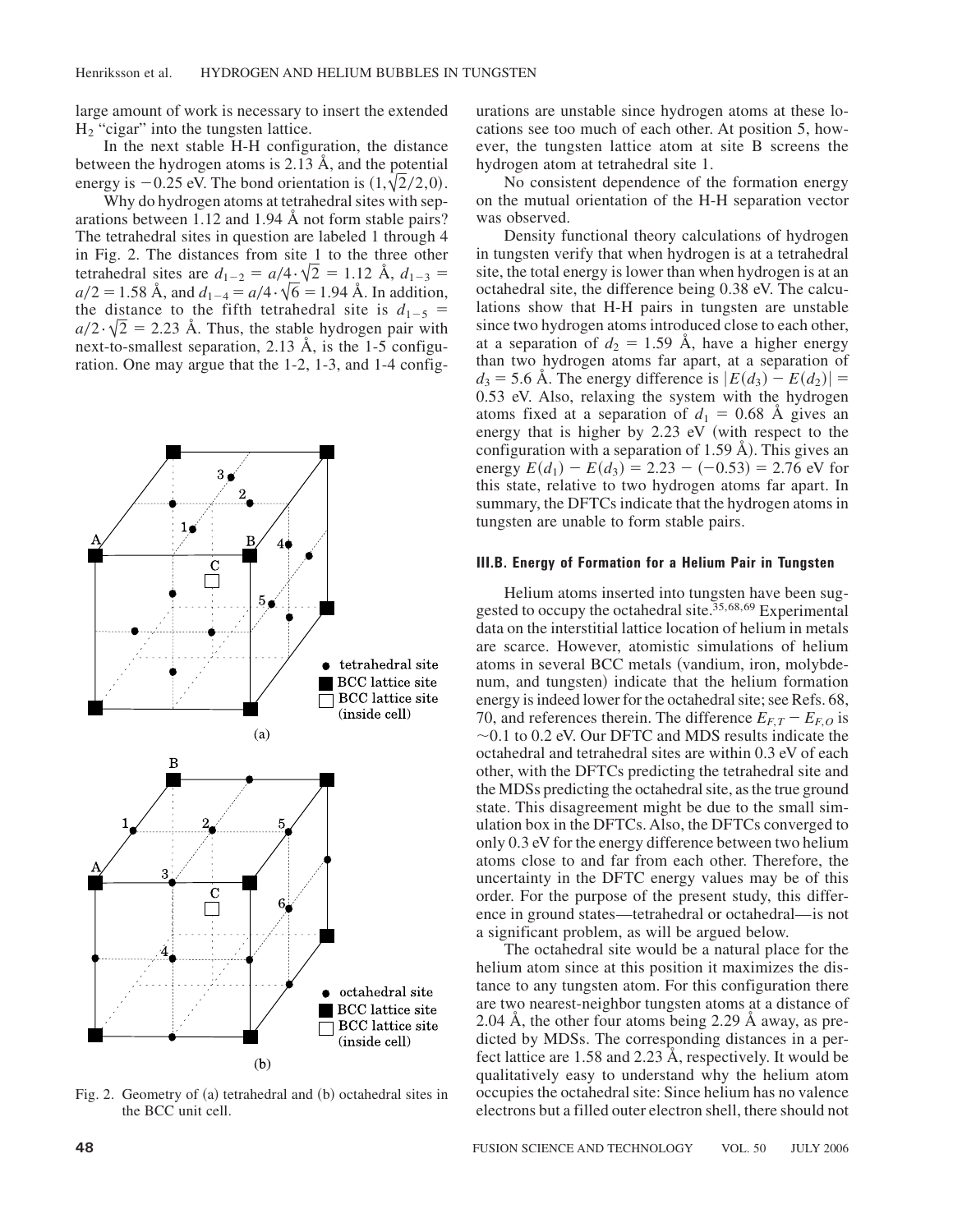large amount of work is necessary to insert the extended H2 "cigar" into the tungsten lattice.

In the next stable H-H configuration, the distance between the hydrogen atoms is 2.13 Å, and the potential energy is  $-0.25$  eV. The bond orientation is  $(1, \sqrt{2}/2, 0)$ .

Why do hydrogen atoms at tetrahedral sites with separations between 1.12 and 1.94 Å not form stable pairs? The tetrahedral sites in question are labeled 1 through 4 in Fig. 2. The distances from site 1 to the three other tetrahedral sites are  $d_{1-2} = a/4 \cdot \sqrt{2} = 1.12$  Å,  $d_{1-3} =$  $a/2 = 1.58$  Å, and  $d_{1-4} = a/4 \cdot \sqrt{6} = 1.94$  Å. In addition, the distance to the fifth tetrahedral site is  $d_{1-5}$  =  $a/2 \cdot \sqrt{2} = 2.23$  Å. Thus, the stable hydrogen pair with next-to-smallest separation, 2.13 Å, is the 1-5 configuration. One may argue that the 1-2, 1-3, and 1-4 config-



Fig. 2. Geometry of  $(a)$  tetrahedral and  $(b)$  octahedral sites in the BCC unit cell.

urations are unstable since hydrogen atoms at these locations see too much of each other. At position 5, however, the tungsten lattice atom at site B screens the hydrogen atom at tetrahedral site 1.

No consistent dependence of the formation energy on the mutual orientation of the H-H separation vector was observed.

Density functional theory calculations of hydrogen in tungsten verify that when hydrogen is at a tetrahedral site, the total energy is lower than when hydrogen is at an octahedral site, the difference being 0.38 eV. The calculations show that H-H pairs in tungsten are unstable since two hydrogen atoms introduced close to each other, at a separation of  $d_2 = 1.59$  Å, have a higher energy than two hydrogen atoms far apart, at a separation of  $d_3 = 5.6$  Å. The energy difference is  $|E(d_3) - E(d_2)| =$ 0.53 eV. Also, relaxing the system with the hydrogen atoms fixed at a separation of  $d_1 = 0.68$  Å gives an energy that is higher by  $2.23$  eV (with respect to the configuration with a separation of 1.59 Å). This gives an energy  $E(d_1) - E(d_3) = 2.23 - (-0.53) = 2.76$  eV for this state, relative to two hydrogen atoms far apart. In summary, the DFTCs indicate that the hydrogen atoms in tungsten are unable to form stable pairs.

#### **III.B. Energy of Formation for a Helium Pair in Tungsten**

Helium atoms inserted into tungsten have been suggested to occupy the octahedral site.<sup>35,68,69</sup> Experimental data on the interstitial lattice location of helium in metals are scarce. However, atomistic simulations of helium atoms in several BCC metals (vandium, iron, molybdenum, and tungsten) indicate that the helium formation energy is indeed lower for the octahedral site; see Refs. 68, 70, and references therein. The difference  $E_{F,T} - E_{F,O}$  is  $\sim$ 0.1 to 0.2 eV. Our DFTC and MDS results indicate the octahedral and tetrahedral sites are within 0.3 eV of each other, with the DFTCs predicting the tetrahedral site and the MDSs predicting the octahedral site, as the true ground state. This disagreement might be due to the small simulation box in the DFTCs. Also, the DFTCs converged to only 0.3 eV for the energy difference between two helium atoms close to and far from each other. Therefore, the uncertainty in the DFTC energy values may be of this order. For the purpose of the present study, this difference in ground states—tetrahedral or octahedral—is not a significant problem, as will be argued below.

The octahedral site would be a natural place for the helium atom since at this position it maximizes the distance to any tungsten atom. For this configuration there are two nearest-neighbor tungsten atoms at a distance of 2.04 Å, the other four atoms being 2.29 Å away, as predicted by MDSs. The corresponding distances in a perfect lattice are 1.58 and 2.23 Å, respectively. It would be qualitatively easy to understand why the helium atom occupies the octahedral site: Since helium has no valence electrons but a filled outer electron shell, there should not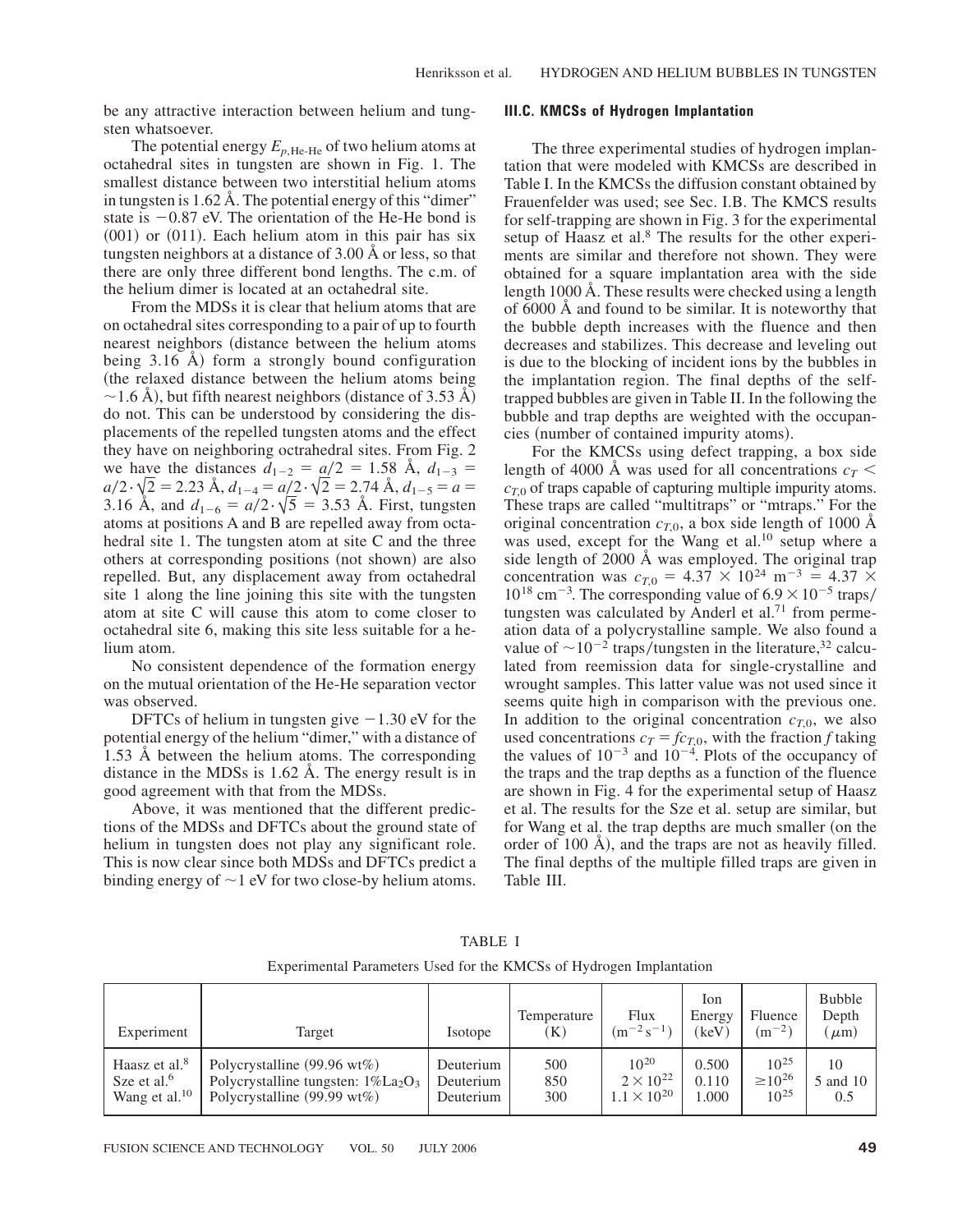be any attractive interaction between helium and tungsten whatsoever.

The potential energy  $E_{p,\text{He-He}}$  of two helium atoms at octahedral sites in tungsten are shown in Fig. 1. The smallest distance between two interstitial helium atoms in tungsten is 1.62 Å. The potential energy of this "dimer" state is  $-0.87$  eV. The orientation of the He-He bond is  $(001)$  or  $(011)$ . Each helium atom in this pair has six tungsten neighbors at a distance of 3.00 Å or less, so that there are only three different bond lengths. The c.m. of the helium dimer is located at an octahedral site.

From the MDSs it is clear that helium atoms that are on octahedral sites corresponding to a pair of up to fourth nearest neighbors (distance between the helium atoms being  $3.16$  Å) form a strongly bound configuration (the relaxed distance between the helium atoms being  $\sim$ 1.6 Å), but fifth nearest neighbors (distance of 3.53 Å) do not. This can be understood by considering the displacements of the repelled tungsten atoms and the effect they have on neighboring octrahedral sites. From Fig. 2 we have the distances  $d_{1-2} = \frac{a}{2} = 1.58$  Å,  $d_{1-3} =$  $a/2 \cdot \sqrt{2} = 2.23$  Å,  $d_{1-4} = a/2 \cdot \sqrt{2} = 2.74$  Å,  $d_{1-5} = a =$ 3.16 Å, and  $d_{1-6} = a/2 \cdot \sqrt{5} = 3.53$  Å. First, tungsten atoms at positions A and B are repelled away from octahedral site 1. The tungsten atom at site C and the three others at corresponding positions (not shown) are also repelled. But, any displacement away from octahedral site 1 along the line joining this site with the tungsten atom at site C will cause this atom to come closer to octahedral site 6, making this site less suitable for a helium atom.

No consistent dependence of the formation energy on the mutual orientation of the He-He separation vector was observed.

DFTCs of helium in tungsten give  $-1.30$  eV for the potential energy of the helium "dimer," with a distance of 1.53 Å between the helium atoms. The corresponding distance in the MDSs is 1.62 Å. The energy result is in good agreement with that from the MDSs.

Above, it was mentioned that the different predictions of the MDSs and DFTCs about the ground state of helium in tungsten does not play any significant role. This is now clear since both MDSs and DFTCs predict a binding energy of  $\sim$ 1 eV for two close-by helium atoms.

## **III.C. KMCSs of Hydrogen Implantation**

The three experimental studies of hydrogen implantation that were modeled with KMCSs are described in Table I. In the KMCSs the diffusion constant obtained by Frauenfelder was used; see Sec. I.B. The KMCS results for self-trapping are shown in Fig. 3 for the experimental setup of Haasz et al. $8$  The results for the other experiments are similar and therefore not shown. They were obtained for a square implantation area with the side length 1000 Å. These results were checked using a length of 6000 Å and found to be similar. It is noteworthy that the bubble depth increases with the fluence and then decreases and stabilizes. This decrease and leveling out is due to the blocking of incident ions by the bubbles in the implantation region. The final depths of the selftrapped bubbles are given in Table II. In the following the bubble and trap depths are weighted with the occupancies (number of contained impurity atoms).

For the KMCSs using defect trapping, a box side length of 4000 Å was used for all concentrations  $c_T$  <  $c_{T,0}$  of traps capable of capturing multiple impurity atoms. These traps are called "multitraps" or "mtraps." For the original concentration  $c_{T,0}$ , a box side length of 1000 Å was used, except for the Wang et al.<sup>10</sup> setup where a side length of 2000 Å was employed. The original trap concentration was  $c_{T,0} = 4.37 \times 10^{24} \text{ m}^{-3} = 4.37 \times 10^{24} \text{ m}^{-3}$  $10^{18}$  cm<sup>-3</sup>. The corresponding value of  $6.9 \times 10^{-5}$  traps/ tungsten was calculated by Anderl et al.<sup>71</sup> from permeation data of a polycrystalline sample. We also found a value of  $\sim 10^{-2}$  traps/tungsten in the literature,<sup>32</sup> calculated from reemission data for single-crystalline and wrought samples. This latter value was not used since it seems quite high in comparison with the previous one. In addition to the original concentration  $c_{T,0}$ , we also used concentrations  $c_T = f c_{T,0}$ , with the fraction *f* taking the values of  $10^{-3}$  and  $10^{-4}$ . Plots of the occupancy of the traps and the trap depths as a function of the fluence are shown in Fig. 4 for the experimental setup of Haasz et al. The results for the Sze et al. setup are similar, but for Wang et al. the trap depths are much smaller (on the order of 100 Å), and the traps are not as heavily filled. The final depths of the multiple filled traps are given in Table III.

|                                                                          |                                                                                                                                                    |                                     |                    | $\sim$                                                  |                         |                                          |                             |
|--------------------------------------------------------------------------|----------------------------------------------------------------------------------------------------------------------------------------------------|-------------------------------------|--------------------|---------------------------------------------------------|-------------------------|------------------------------------------|-----------------------------|
| Experiment                                                               | Target                                                                                                                                             | Isotope                             | Temperature<br>(K) | Flux<br>$(m^{-2} s^{-1})$                               | Ion<br>Energy<br>(keV)  | Fluence<br>$(m^{-2})$                    | Bubble<br>Depth<br>$\mu$ m) |
| Haasz et al. <sup>8</sup><br>Sze et al. <sup>6</sup><br>Wang et al. $10$ | Polycrystalline $(99.96 \text{ wt\%})$<br>Polycrystalline tungsten: $1\%$ La <sub>2</sub> O <sub>3</sub><br>Polycrystalline $(99.99 \text{ wt\%})$ | Deuterium<br>Deuterium<br>Deuterium | 500<br>850<br>300  | $10^{20}$<br>$2 \times 10^{22}$<br>$1.1 \times 10^{20}$ | 0.500<br>0.110<br>.000. | $10^{25}$<br>$\geq 10^{26}$<br>$10^{25}$ | 10<br>5 and 10  <br>0.5     |

TABLE I Experimental Parameters Used for the KMCSs of Hydrogen Implantation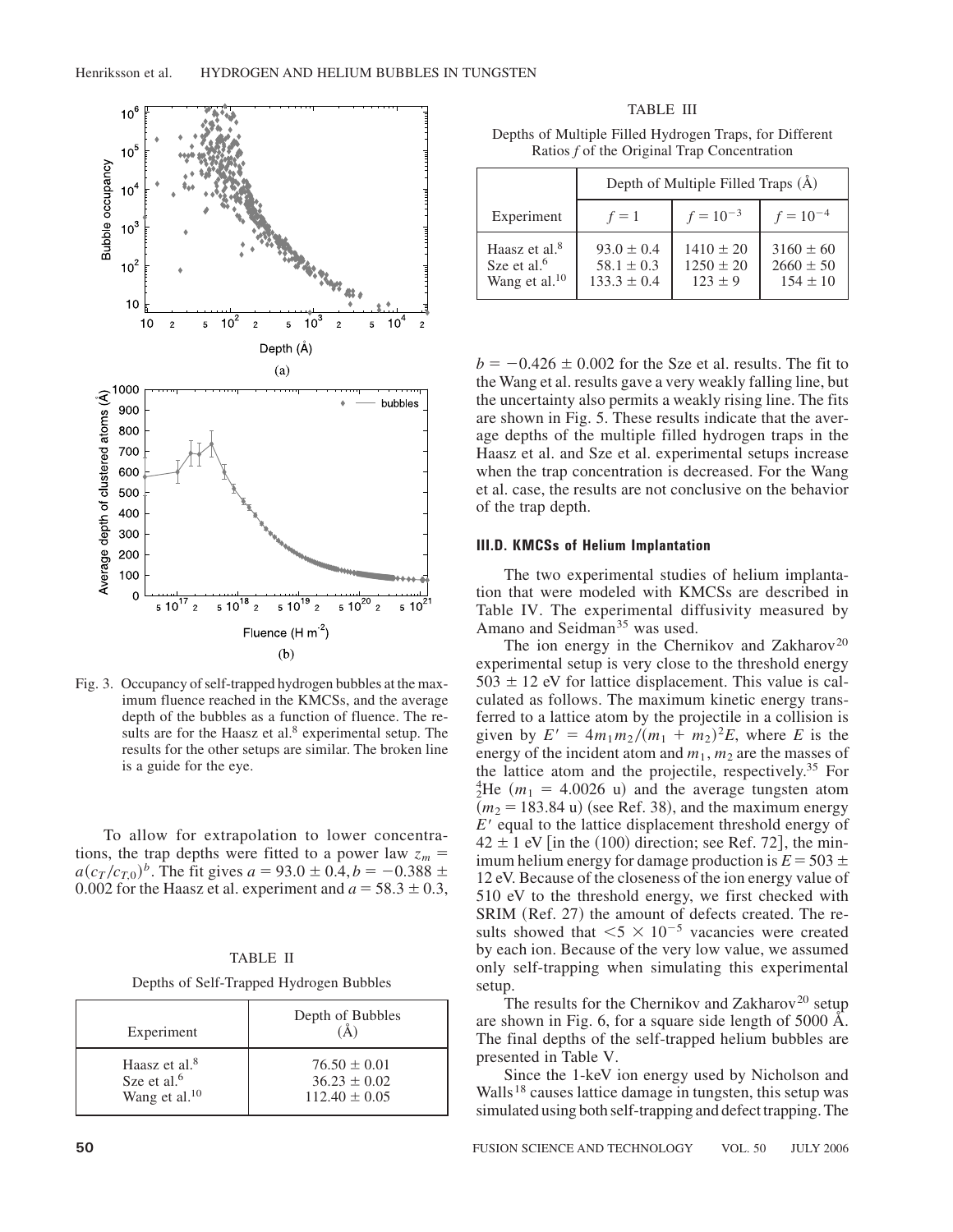

Fig. 3. Occupancy of self-trapped hydrogen bubbles at the maximum fluence reached in the KMCSs, and the average depth of the bubbles as a function of fluence. The results are for the Haasz et al.<sup>8</sup> experimental setup. The results for the other setups are similar. The broken line is a guide for the eye.

To allow for extrapolation to lower concentrations, the trap depths were fitted to a power law  $z_m =$  $a(c_T/c_{T,0})^b$ . The fit gives  $a = 93.0 \pm 0.4, b = -0.388 \pm 0.01$ 0.002 for the Haasz et al. experiment and  $a = 58.3 \pm 0.3$ ,

| <b>TABLE II</b>                         |  |
|-----------------------------------------|--|
| Depths of Self-Trapped Hydrogen Bubbles |  |

| Experiment                | Depth of Bubbles  |
|---------------------------|-------------------|
| Haasz et al. <sup>8</sup> | $76.50 \pm 0.01$  |
| Sze et al. $6$            | $36.23 \pm 0.02$  |
| Wang et al. <sup>10</sup> | $112.40 \pm 0.05$ |

TABLE III

Depths of Multiple Filled Hydrogen Traps, for Different Ratios *f* of the Original Trap Concentration

|                                                                                   | Depth of Multiple Filled Traps (Å)                  |                                               |                                                |  |
|-----------------------------------------------------------------------------------|-----------------------------------------------------|-----------------------------------------------|------------------------------------------------|--|
| Experiment                                                                        | $f=1$                                               | $f = 10^{-3}$                                 | $f = 10^{-4}$                                  |  |
| Haasz et al. <sup>8</sup><br>Sze et al. <sup>6</sup><br>Wang et al. <sup>10</sup> | $93.0 \pm 0.4$<br>$58.1 \pm 0.3$<br>$133.3 \pm 0.4$ | $1410 \pm 20$<br>$1250 \pm 20$<br>$123 \pm 9$ | $3160 \pm 60$<br>$2660 \pm 50$<br>$154 \pm 10$ |  |

 $b = -0.426 \pm 0.002$  for the Sze et al. results. The fit to the Wang et al. results gave a very weakly falling line, but the uncertainty also permits a weakly rising line. The fits are shown in Fig. 5. These results indicate that the average depths of the multiple filled hydrogen traps in the Haasz et al. and Sze et al. experimental setups increase when the trap concentration is decreased. For the Wang et al. case, the results are not conclusive on the behavior of the trap depth.

#### **III.D. KMCSs of Helium Implantation**

The two experimental studies of helium implantation that were modeled with KMCSs are described in Table IV. The experimental diffusivity measured by Amano and Seidman<sup>35</sup> was used.

The ion energy in the Chernikov and Zakharov<sup>20</sup> experimental setup is very close to the threshold energy  $503 \pm 12$  eV for lattice displacement. This value is calculated as follows. The maximum kinetic energy transferred to a lattice atom by the projectile in a collision is given by  $E' = 4m_1m_2/(m_1 + m_2)^2E$ , where *E* is the energy of the incident atom and  $m_1$ ,  $m_2$  are the masses of the lattice atom and the projectile, respectively.<sup>35</sup> For <sup>4</sup>He  $(m_1 = 4.0026 \text{ u})$  and the average tungsten atom  $\overline{(m_2)}$  = 183.84 u) (see Ref. 38), and the maximum energy *E*' equal to the lattice displacement threshold energy of  $42 \pm 1$  eV [in the (100) direction; see Ref. 72], the minimum helium energy for damage production is  $E = 503 \pm$ 12 eV. Because of the closeness of the ion energy value of 510 eV to the threshold energy, we first checked with SRIM (Ref. 27) the amount of defects created. The results showed that  $\leq 5 \times 10^{-5}$  vacancies were created by each ion. Because of the very low value, we assumed only self-trapping when simulating this experimental setup.

The results for the Chernikov and Zakharov<sup>20</sup> setup are shown in Fig. 6, for a square side length of 5000 Å. The final depths of the self-trapped helium bubbles are presented in Table V.

Since the 1-keV ion energy used by Nicholson and Walls<sup>18</sup> causes lattice damage in tungsten, this setup was simulated using both self-trapping and defect trapping. The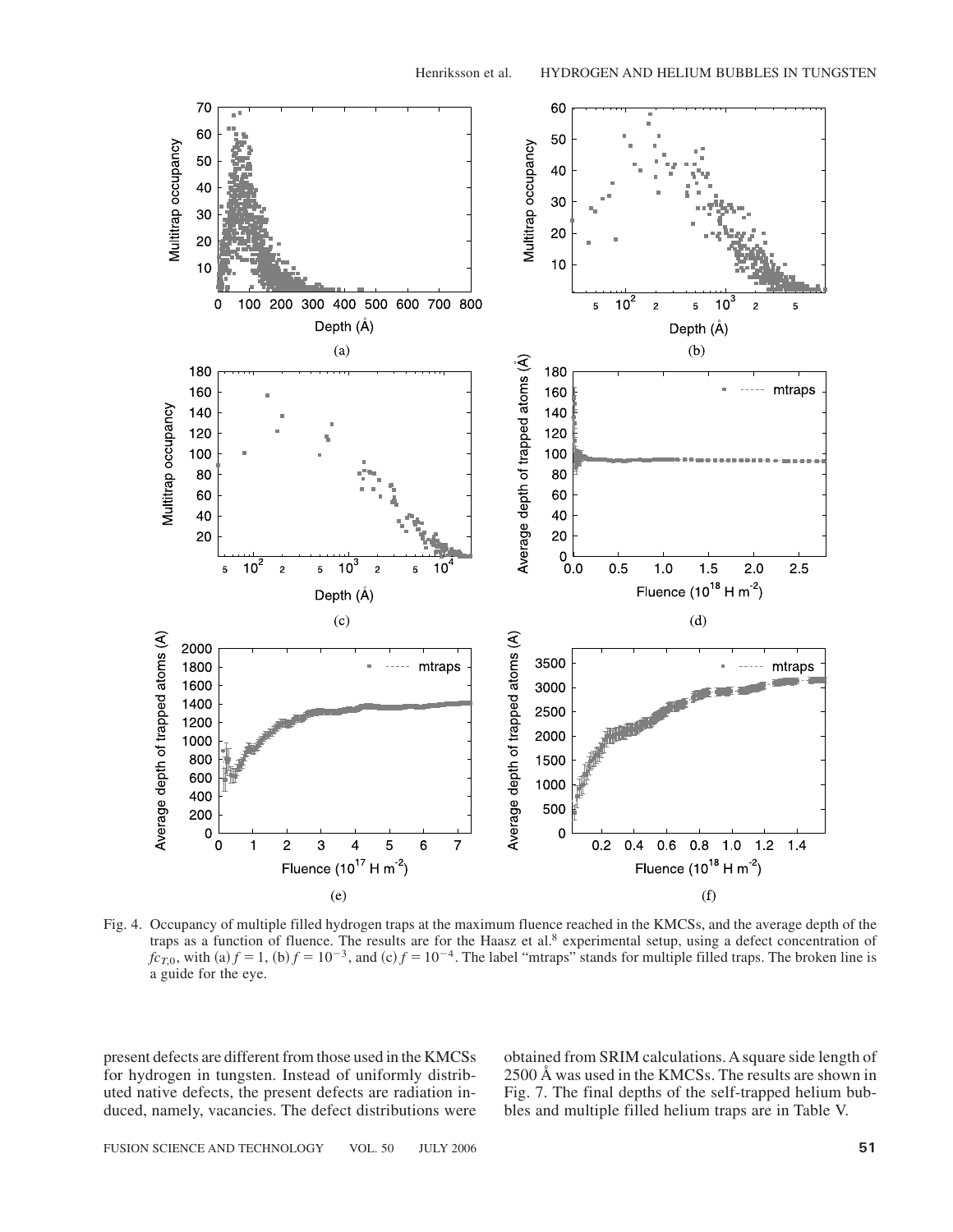

Fig. 4. Occupancy of multiple filled hydrogen traps at the maximum fluence reached in the KMCSs, and the average depth of the traps as a function of fluence. The results are for the Haasz et al.8 experimental setup, using a defect concentration of  $f_{cT,0}$ , with (a)  $f = 1$ , (b)  $f = 10^{-3}$ , and (c)  $f = 10^{-4}$ . The label "mtraps" stands for multiple filled traps. The broken line is a guide for the eye.

present defects are different from those used in the KMCSs for hydrogen in tungsten. Instead of uniformly distributed native defects, the present defects are radiation induced, namely, vacancies. The defect distributions were

obtained from SRIM calculations. A square side length of 2500 Å was used in the KMCSs. The results are shown in Fig. 7. The final depths of the self-trapped helium bubbles and multiple filled helium traps are in Table V.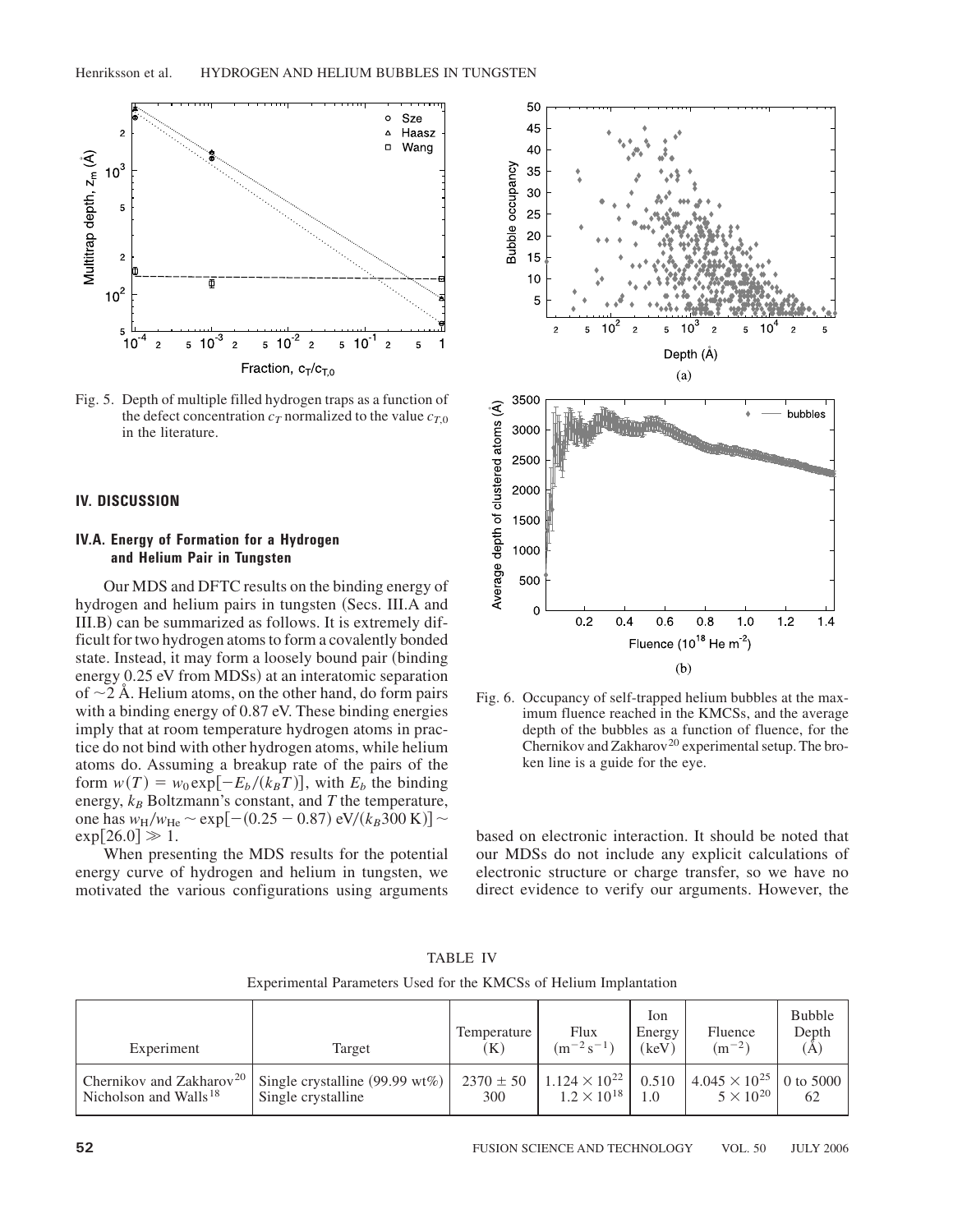

Fig. 5. Depth of multiple filled hydrogen traps as a function of the defect concentration  $c_T$  normalized to the value  $c_{T,0}$ in the literature.

### **IV. DISCUSSION**

# **IV.A. Energy of Formation for a Hydrogen and Helium Pair in Tungsten**

Our MDS and DFTC results on the binding energy of hydrogen and helium pairs in tungsten (Secs. III.A and III.B) can be summarized as follows. It is extremely difficult for two hydrogen atoms to form a covalently bonded state. Instead, it may form a loosely bound pair (binding energy 0.25 eV from MDSs) at an interatomic separation of  $\sim$  2 Å. Helium atoms, on the other hand, do form pairs with a binding energy of 0.87 eV. These binding energies imply that at room temperature hydrogen atoms in practice do not bind with other hydrogen atoms, while helium atoms do. Assuming a breakup rate of the pairs of the form  $w(T) = w_0 \exp[-E_b/(k_B T)]$ , with  $E_b$  the binding energy,  $k_B$  Boltzmann's constant, and  $T$  the temperature, one has  $w_H/w_{\text{He}} \sim \exp[-(0.25 - 0.87) \text{ eV}/(k_B 300 \text{ K})]$  ~  $\exp[26.0] \gg 1.$ 

When presenting the MDS results for the potential energy curve of hydrogen and helium in tungsten, we motivated the various configurations using arguments



Fig. 6. Occupancy of self-trapped helium bubbles at the maximum fluence reached in the KMCSs, and the average depth of the bubbles as a function of fluence, for the Chernikov and Zakharov<sup>20</sup> experimental setup. The broken line is a guide for the eye.

based on electronic interaction. It should be noted that our MDSs do not include any explicit calculations of electronic structure or charge transfer, so we have no direct evidence to verify our arguments. However, the

| Experiment                                                                | Target                                                          | Temperature<br>(K    | Flux<br>$(m^{-2} s^{-1})$                      | Ion<br>Energy<br>$'$ keV) | Fluence<br>$(m^{-2})$                                  | <b>Bubble</b><br>Depth<br>(A) |
|---------------------------------------------------------------------------|-----------------------------------------------------------------|----------------------|------------------------------------------------|---------------------------|--------------------------------------------------------|-------------------------------|
| Chernikov and Zakharov <sup>20</sup><br>Nicholson and Walls <sup>18</sup> | Single crystalline $(99.99 \text{ wt\%})$<br>Single crystalline | $2370 \pm 50$<br>300 | $1.124 \times 10^{22}$<br>$1.2 \times 10^{18}$ | 0.510<br>1.0              | $4.045 \times 10^{25}$ 0 to 5000<br>$5 \times 10^{20}$ | 62                            |

TABLE IV

Experimental Parameters Used for the KMCSs of Helium Implantation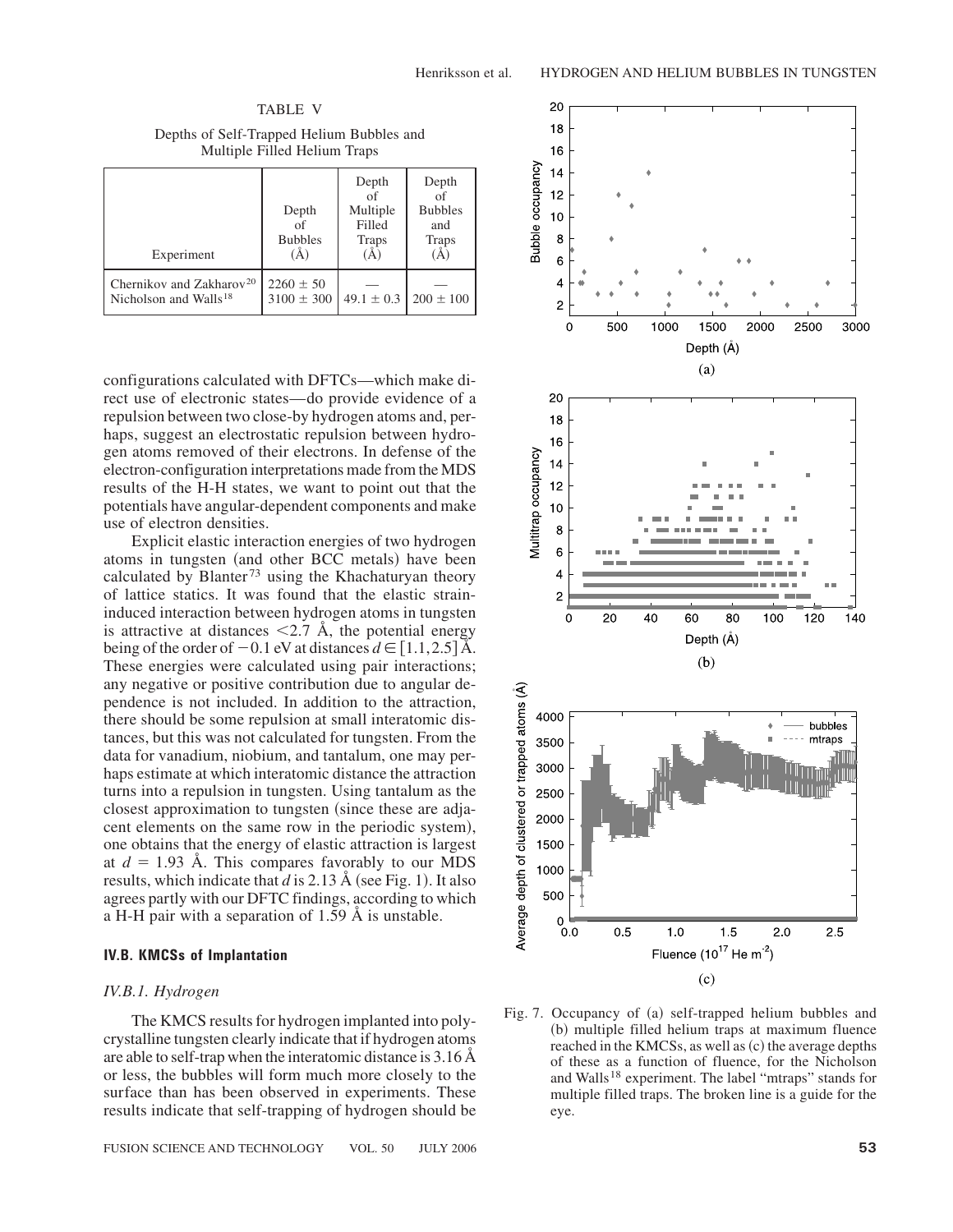Depths of Self-Trapped Helium Bubbles and Multiple Filled Helium Traps

| Experiment                                                                | Depth<br>of<br><b>Bubbles</b><br>(Ă) | Depth<br>of<br>Multiple<br>Filled<br><b>Traps</b><br>(A) | Depth<br>$\alpha$ f<br><b>Bubbles</b><br>and<br><b>Traps</b> |  |
|---------------------------------------------------------------------------|--------------------------------------|----------------------------------------------------------|--------------------------------------------------------------|--|
| Chernikov and Zakharov <sup>20</sup><br>Nicholson and Walls <sup>18</sup> | $2260 \pm 50$<br>$3100 \pm 300$      | $49.1 \pm 0.3$                                           | $200 \pm 100$                                                |  |

configurations calculated with DFTCs—which make direct use of electronic states—do provide evidence of a repulsion between two close-by hydrogen atoms and, perhaps, suggest an electrostatic repulsion between hydrogen atoms removed of their electrons. In defense of the electron-configuration interpretations made from the MDS results of the H-H states, we want to point out that the potentials have angular-dependent components and make use of electron densities.

Explicit elastic interaction energies of two hydrogen atoms in tungsten (and other BCC metals) have been calculated by Blanter<sup>73</sup> using the Khachaturyan theory of lattice statics. It was found that the elastic straininduced interaction between hydrogen atoms in tungsten is attractive at distances  $\leq$  2.7 Å, the potential energy being of the order of  $-0.1$  eV at distances  $d \in [1.1,2.5]$  Å. These energies were calculated using pair interactions; any negative or positive contribution due to angular dependence is not included. In addition to the attraction, there should be some repulsion at small interatomic distances, but this was not calculated for tungsten. From the data for vanadium, niobium, and tantalum, one may perhaps estimate at which interatomic distance the attraction turns into a repulsion in tungsten. Using tantalum as the closest approximation to tungsten (since these are adjacent elements on the same row in the periodic system), one obtains that the energy of elastic attraction is largest at  $d = 1.93$  Å. This compares favorably to our MDS results, which indicate that  $d$  is 2.13 Å (see Fig. 1). It also agrees partly with our DFTC findings, according to which a H-H pair with a separation of 1.59 Å is unstable.

## **IV.B. KMCSs of Implantation**

## *IV.B.1. Hydrogen*

The KMCS results for hydrogen implanted into polycrystalline tungsten clearly indicate that if hydrogen atoms are able to self-trap when the interatomic distance is 3.16 Å or less, the bubbles will form much more closely to the surface than has been observed in experiments. These results indicate that self-trapping of hydrogen should be



Fig. 7. Occupancy of (a) self-trapped helium bubbles and (b) multiple filled helium traps at maximum fluence reached in the KMCSs, as well as (c) the average depths of these as a function of fluence, for the Nicholson and Walls<sup>18</sup> experiment. The label "mtraps" stands for multiple filled traps. The broken line is a guide for the eye.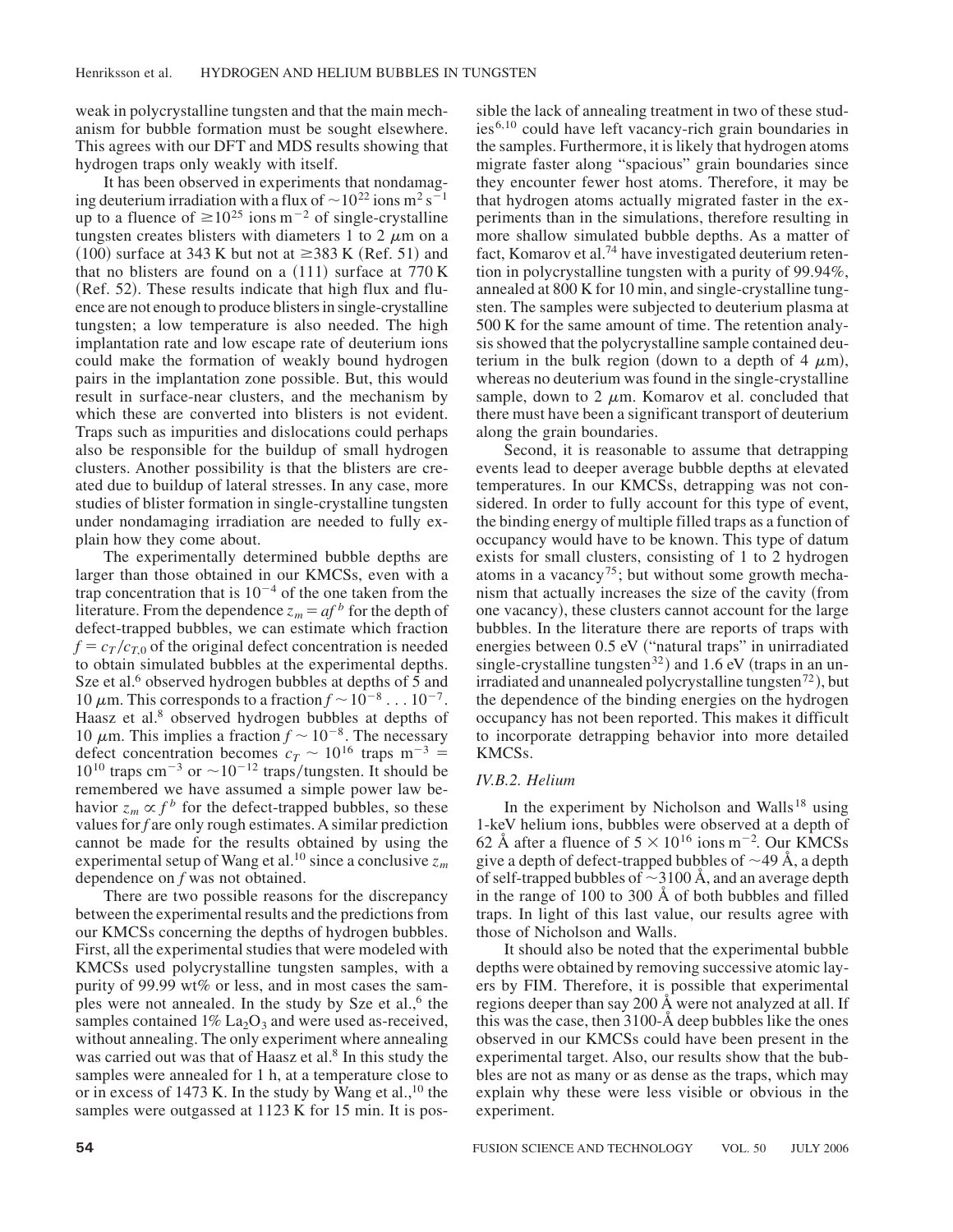weak in polycrystalline tungsten and that the main mechanism for bubble formation must be sought elsewhere. This agrees with our DFT and MDS results showing that hydrogen traps only weakly with itself.

It has been observed in experiments that nondamaging deuterium irradiation with a flux of  $\sim$  10<sup>22</sup> ions m<sup>2</sup> s<sup>-1</sup> up to a fluence of  $\geq 10^{25}$  ions m<sup>-2</sup> of single-crystalline tungsten creates blisters with diameters 1 to 2  $\mu$ m on a  $(100)$  surface at 343 K but not at  $\geq$ 383 K (Ref. 51) and that no blisters are found on a  $(111)$  surface at 770 K  $(Ref. 52)$ . These results indicate that high flux and fluence are not enough to produce blisters in single-crystalline tungsten; a low temperature is also needed. The high implantation rate and low escape rate of deuterium ions could make the formation of weakly bound hydrogen pairs in the implantation zone possible. But, this would result in surface-near clusters, and the mechanism by which these are converted into blisters is not evident. Traps such as impurities and dislocations could perhaps also be responsible for the buildup of small hydrogen clusters. Another possibility is that the blisters are created due to buildup of lateral stresses. In any case, more studies of blister formation in single-crystalline tungsten under nondamaging irradiation are needed to fully explain how they come about.

The experimentally determined bubble depths are larger than those obtained in our KMCSs, even with a trap concentration that is  $10^{-4}$  of the one taken from the literature. From the dependence  $z_m = af^b$  for the depth of defect-trapped bubbles, we can estimate which fraction  $f = c_T/c_{T,0}$  of the original defect concentration is needed to obtain simulated bubbles at the experimental depths. Sze et al.<sup>6</sup> observed hydrogen bubbles at depths of 5 and 10  $\mu$ m. This corresponds to a fraction  $f \sim 10^{-8} \ldots 10^{-7}$ . Haasz et al.<sup>8</sup> observed hydrogen bubbles at depths of 10  $\mu$ m. This implies a fraction  $f \sim 10^{-8}$ . The necessary defect concentration becomes  $c_T \sim 10^{16}$  traps m<sup>-3</sup> =  $10^{10}$  traps cm<sup>-3</sup> or  $\sim$ 10<sup>-12</sup> traps/tungsten. It should be remembered we have assumed a simple power law behavior  $z_m \propto f^b$  for the defect-trapped bubbles, so these values for *f* are only rough estimates. A similar prediction cannot be made for the results obtained by using the experimental setup of Wang et al.<sup>10</sup> since a conclusive  $z_m$ dependence on *f* was not obtained.

There are two possible reasons for the discrepancy between the experimental results and the predictions from our KMCSs concerning the depths of hydrogen bubbles. First, all the experimental studies that were modeled with KMCSs used polycrystalline tungsten samples, with a purity of 99.99 wt% or less, and in most cases the samples were not annealed. In the study by Sze et al.,<sup>6</sup> the samples contained  $1\%$  La<sub>2</sub>O<sub>3</sub> and were used as-received, without annealing. The only experiment where annealing was carried out was that of Haasz et al.<sup>8</sup> In this study the samples were annealed for 1 h, at a temperature close to or in excess of 1473 K. In the study by Wang et al., <sup>10</sup> the samples were outgassed at 1123 K for 15 min. It is pos-

sible the lack of annealing treatment in two of these studies6,10 could have left vacancy-rich grain boundaries in the samples. Furthermore, it is likely that hydrogen atoms migrate faster along "spacious" grain boundaries since they encounter fewer host atoms. Therefore, it may be that hydrogen atoms actually migrated faster in the experiments than in the simulations, therefore resulting in more shallow simulated bubble depths. As a matter of fact, Komarov et al.<sup>74</sup> have investigated deuterium retention in polycrystalline tungsten with a purity of 99.94%, annealed at 800 K for 10 min, and single-crystalline tungsten. The samples were subjected to deuterium plasma at 500 K for the same amount of time. The retention analysis showed that the polycrystalline sample contained deuterium in the bulk region (down to a depth of 4  $\mu$ m), whereas no deuterium was found in the single-crystalline sample, down to 2  $\mu$ m. Komarov et al. concluded that there must have been a significant transport of deuterium along the grain boundaries.

Second, it is reasonable to assume that detrapping events lead to deeper average bubble depths at elevated temperatures. In our KMCSs, detrapping was not considered. In order to fully account for this type of event, the binding energy of multiple filled traps as a function of occupancy would have to be known. This type of datum exists for small clusters, consisting of 1 to 2 hydrogen atoms in a vacancy<sup>75</sup>; but without some growth mechanism that actually increases the size of the cavity (from one vacancy), these clusters cannot account for the large bubbles. In the literature there are reports of traps with energies between  $0.5$  eV ("natural traps" in unirradiated single-crystalline tungsten<sup>32</sup>) and 1.6 eV (traps in an unirradiated and unannealed polycrystalline tungsten<sup>72</sup>), but the dependence of the binding energies on the hydrogen occupancy has not been reported. This makes it difficult to incorporate detrapping behavior into more detailed KMCSs.

#### *IV.B.2. Helium*

In the experiment by Nicholson and Walls<sup>18</sup> using 1-keV helium ions, bubbles were observed at a depth of 62 Å after a fluence of  $5 \times 10^{16}$  ions m<sup>-2</sup>. Our KMCSs give a depth of defect-trapped bubbles of  $\sim$ 49 Å, a depth of self-trapped bubbles of  $\sim$ 3100 Å, and an average depth in the range of 100 to 300 Å of both bubbles and filled traps. In light of this last value, our results agree with those of Nicholson and Walls.

It should also be noted that the experimental bubble depths were obtained by removing successive atomic layers by FIM. Therefore, it is possible that experimental regions deeper than say 200 Å were not analyzed at all. If this was the case, then 3100-Å deep bubbles like the ones observed in our KMCSs could have been present in the experimental target. Also, our results show that the bubbles are not as many or as dense as the traps, which may explain why these were less visible or obvious in the experiment.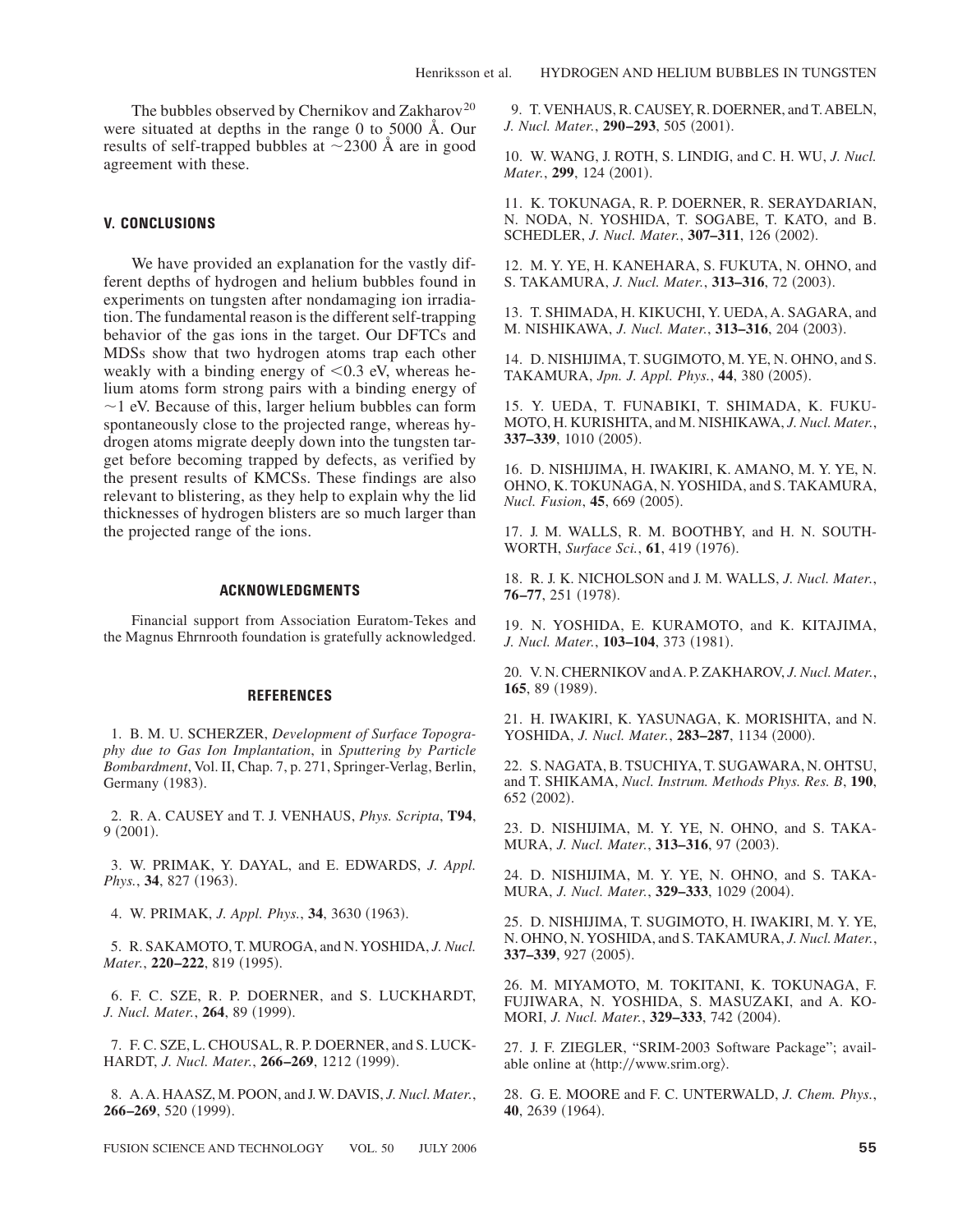The bubbles observed by Chernikov and Zakharov<sup>20</sup> were situated at depths in the range 0 to 5000 Å. Our results of self-trapped bubbles at  $\sim$ 2300 Å are in good agreement with these.

# **V. CONCLUSIONS**

We have provided an explanation for the vastly different depths of hydrogen and helium bubbles found in experiments on tungsten after nondamaging ion irradiation. The fundamental reason is the different self-trapping behavior of the gas ions in the target. Our DFTCs and MDSs show that two hydrogen atoms trap each other weakly with a binding energy of  $< 0.3$  eV, whereas helium atoms form strong pairs with a binding energy of  $\sim$ 1 eV. Because of this, larger helium bubbles can form spontaneously close to the projected range, whereas hydrogen atoms migrate deeply down into the tungsten target before becoming trapped by defects, as verified by the present results of KMCSs. These findings are also relevant to blistering, as they help to explain why the lid thicknesses of hydrogen blisters are so much larger than the projected range of the ions.

## **ACKNOWLEDGMENTS**

Financial support from Association Euratom-Tekes and the Magnus Ehrnrooth foundation is gratefully acknowledged.

#### **REFERENCES**

1. B. M. U. SCHERZER, *Development of Surface Topography due to Gas Ion Implantation*, in *Sputtering by Particle Bombardment*, Vol. II, Chap. 7, p. 271, Springer-Verlag, Berlin, Germany (1983).

2. R. A. CAUSEY and T. J. VENHAUS, *Phys. Scripta*, **T94**,  $9 (2001).$ 

3. W. PRIMAK, Y. DAYAL, and E. EDWARDS, *J. Appl. Phys.*, **34**, 827 (1963).

4. W. PRIMAK, *J. Appl. Phys.*, **34**, 3630 (1963).

5. R. SAKAMOTO, T. MUROGA, and N. YOSHIDA, *J. Nucl. Mater.*, 220-222, 819 (1995).

6. F. C. SZE, R. P. DOERNER, and S. LUCKHARDT, *J. Nucl. Mater.*, 264, 89 (1999).

7. F. C. SZE, L. CHOUSAL, R. P. DOERNER, and S. LUCK-HARDT, *J. Nucl. Mater.*, **266-269**, 1212 (1999).

8. A. A. HAASZ, M. POON, and J. W. DAVIS, *J. Nucl. Mater.*, **266–269**, 520 (1999).

FUSION SCIENCE AND TECHNOLOGY VOL. 50 JULY 2006 **55**

9. T. VENHAUS, R. CAUSEY, R. DOERNER, and T.ABELN, *J. Nucl. Mater.*, **290–293**, 505 (2001).

10. W. WANG, J. ROTH, S. LINDIG, and C. H. WU, *J. Nucl. Mater.*, 299, 124 (2001).

11. K. TOKUNAGA, R. P. DOERNER, R. SERAYDARIAN, N. NODA, N. YOSHIDA, T. SOGABE, T. KATO, and B. SCHEDLER, *J. Nucl. Mater.*, 307-311, 126 (2002).

12. M. Y. YE, H. KANEHARA, S. FUKUTA, N. OHNO, and S. TAKAMURA, *J. Nucl. Mater.*, 313-316, 72 (2003).

13. T. SHIMADA, H. KIKUCHI, Y. UEDA, A. SAGARA, and M. NISHIKAWA, *J. Nucl. Mater.*, **313-316**, 204 (2003).

14. D. NISHIJIMA, T. SUGIMOTO, M. YE, N. OHNO, and S. TAKAMURA, *Jpn. J. Appl. Phys.*, 44, 380 (2005).

15. Y. UEDA, T. FUNABIKI, T. SHIMADA, K. FUKU-MOTO, H. KURISHITA, and M. NISHIKAWA, *J. Nucl. Mater.*, **337–339**, 1010 (2005).

16. D. NISHIJIMA, H. IWAKIRI, K. AMANO, M. Y. YE, N. OHNO, K. TOKUNAGA, N. YOSHIDA, and S. TAKAMURA, *Nucl. Fusion*, **45**, 669 (2005).

17. J. M. WALLS, R. M. BOOTHBY, and H. N. SOUTH-WORTH, *Surface Sci.*, **61**, 419 (1976).

18. R. J. K. NICHOLSON and J. M. WALLS, *J. Nucl. Mater.*, **76–77**, 251 (1978).

19. N. YOSHIDA, E. KURAMOTO, and K. KITAJIMA, *J. Nucl. Mater.*, **103-104**, 373 (1981).

20. V. N. CHERNIKOV andA. P. ZAKHAROV, *J. Nucl. Mater.*, **165**, 89 (1989).

21. H. IWAKIRI, K. YASUNAGA, K. MORISHITA, and N. YOSHIDA, *J. Nucl. Mater.*, **283-287**, 1134 (2000).

22. S. NAGATA, B. TSUCHIYA, T. SUGAWARA, N. OHTSU, and T. SHIKAMA, *Nucl. Instrum. Methods Phys. Res. B*, **190**,  $652 ~ (2002)$ .

23. D. NISHIJIMA, M. Y. YE, N. OHNO, and S. TAKA-MURA, *J. Nucl. Mater.*, 313-316, 97 (2003).

24. D. NISHIJIMA, M. Y. YE, N. OHNO, and S. TAKA-MURA, *J. Nucl. Mater.*, 329-333, 1029 (2004).

25. D. NISHIJIMA, T. SUGIMOTO, H. IWAKIRI, M. Y. YE, N. OHNO, N. YOSHIDA, and S. TAKAMURA, *J. Nucl. Mater.*, **337–339**, 927 (2005).

26. M. MIYAMOTO, M. TOKITANI, K. TOKUNAGA, F. FUJIWARA, N. YOSHIDA, S. MASUZAKI, and A. KO-MORI, *J. Nucl. Mater.*, 329-333, 742 (2004).

27. J. F. ZIEGLER, "SRIM-2003 Software Package"; available online at  $\langle$ http://www.srim.org $\rangle$ .

28. G. E. MOORE and F. C. UNTERWALD, *J. Chem. Phys.*, 40, 2639 (1964).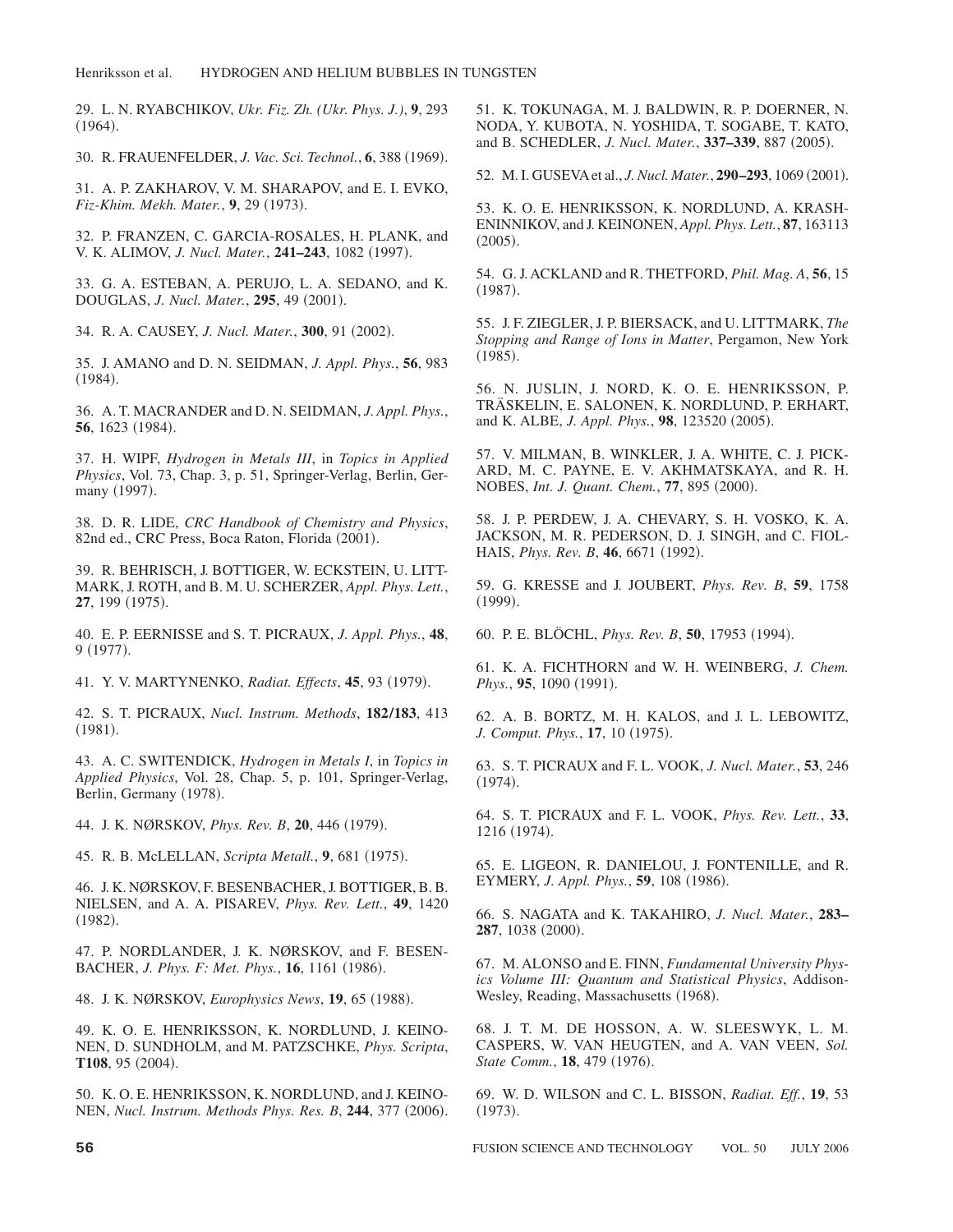Henriksson et al. HYDROGEN AND HELIUM BUBBLES IN TUNGSTEN

29. L. N. RYABCHIKOV, *Ukr. Fiz. Zh. (Ukr. Phys. J.)*, **9**, 293  $(1964).$ 

30. R. FRAUENFELDER, *J. Vac. Sci. Technol.*, **6**, 388 (1969).

31. A. P. ZAKHAROV, V. M. SHARAPOV, and E. I. EVKO, *Fiz-Khim. Mekh. Mater.*, 9, 29 (1973).

32. P. FRANZEN, C. GARCIA-ROSALES, H. PLANK, and V. K. ALIMOV, *J. Nucl. Mater.*, 241-243, 1082 (1997).

33. G. A. ESTEBAN, A. PERUJO, L. A. SEDANO, and K. DOUGLAS, *J. Nucl. Mater.*, **295**, 49 (2001).

34. R. A. CAUSEY, *J. Nucl. Mater.*, 300, 91 (2002).

35. J. AMANO and D. N. SEIDMAN, *J. Appl. Phys.*, **56**, 983  $(1984).$ 

36. A. T. MACRANDER and D. N. SEIDMAN, *J. Appl. Phys.*, **56**, 1623 (1984).

37. H. WIPF, *Hydrogen in Metals III*, in *Topics in Applied Physics*, Vol. 73, Chap. 3, p. 51, Springer-Verlag, Berlin, Germany (1997).

38. D. R. LIDE, *CRC Handbook of Chemistry and Physics*, 82nd ed., CRC Press, Boca Raton, Florida (2001).

39. R. BEHRISCH, J. BOTTIGER, W. ECKSTEIN, U. LITT-MARK, J. ROTH, and B. M. U. SCHERZER, *Appl. Phys. Lett.*, **27**, 199 (1975).

40. E. P. EERNISSE and S. T. PICRAUX, *J. Appl. Phys.*, **48**,  $9(1977).$ 

41. Y. V. MARTYNENKO, *Radiat. Effects*, **45**, 93 (1979).

42. S. T. PICRAUX, *Nucl. Instrum. Methods*, **182/183**, 413  $(1981).$ 

43. A. C. SWITENDICK, *Hydrogen in Metals I*, in *Topics in Applied Physics*, Vol. 28, Chap. 5, p. 101, Springer-Verlag, Berlin, Germany (1978).

44. J. K. NØRSKOV, *Phys. Rev. B*, 20, 446 (1979).

45. R. B. McLELLAN, *Scripta Metall.*, 9, 681 (1975).

46. J. K. NØRSKOV, F. BESENBACHER, J. BOTTIGER, B. B. NIELSEN, and A. A. PISAREV, *Phys. Rev. Lett.*, **49**, 1420  $(1982).$ 

47. P. NORDLANDER, J. K. NØRSKOV, and F. BESEN-BACHER, *J. Phys. F: Met. Phys.*, 16, 1161 (1986).

48. J. K. NØRSKOV, *Europhysics News*, **19**, 65 (1988).

49. K. O. E. HENRIKSSON, K. NORDLUND, J. KEINO-NEN, D. SUNDHOLM, and M. PATZSCHKE, *Phys. Scripta*, **T108**, 95  $(2004)$ .

50. K. O. E. HENRIKSSON, K. NORDLUND, and J. KEINO-NEN, *Nucl. Instrum. Methods Phys. Res. B*, 244, 377 (2006). 51. K. TOKUNAGA, M. J. BALDWIN, R. P. DOERNER, N. NODA, Y. KUBOTA, N. YOSHIDA, T. SOGABE, T. KATO, and B. SCHEDLER, *J. Nucl. Mater.*, 337-339, 887 (2005).

52. M. I. GUSEVA et al., *J. Nucl. Mater.*, **290–293**, 1069 (2001).

53. K. O. E. HENRIKSSON, K. NORDLUND, A. KRASH-ENINNIKOV, and J. KEINONEN, *Appl. Phys. Lett.*, **87**, 163113  $(2005).$ 

54. G. J. ACKLAND and R. THETFORD, *Phil. Mag. A*, **56**, 15  $(1987).$ 

55. J. F. ZIEGLER, J. P. BIERSACK, and U. LITTMARK, *The Stopping and Range of Ions in Matter*, Pergamon, New York  $(1985).$ 

56. N. JUSLIN, J. NORD, K. O. E. HENRIKSSON, P. TRÄSKELIN, E. SALONEN, K. NORDLUND, P. ERHART, and K. ALBE, *J. Appl. Phys.*, 98, 123520 (2005).

57. V. MILMAN, B. WINKLER, J. A. WHITE, C. J. PICK-ARD, M. C. PAYNE, E. V. AKHMATSKAYA, and R. H. NOBES, Int. J. Quant. Chem., 77, 895 (2000).

58. J. P. PERDEW, J. A. CHEVARY, S. H. VOSKO, K. A. JACKSON, M. R. PEDERSON, D. J. SINGH, and C. FIOL-HAIS, *Phys. Rev. B*, 46, 6671 (1992).

59. G. KRESSE and J. JOUBERT, *Phys. Rev. B*, **59**, 1758  $(1999).$ 

60. P. E. BLÖCHL, *Phys. Rev. B*, **50**, 17953 (1994).

61. K. A. FICHTHORN and W. H. WEINBERG, *J. Chem. Phys.*, 95, 1090 (1991).

62. A. B. BORTZ, M. H. KALOS, and J. L. LEBOWITZ, *J. Comput. Phys.*, 17, 10 (1975).

63. S. T. PICRAUX and F. L. VOOK, *J. Nucl. Mater.*, **53**, 246  $(1974).$ 

64. S. T. PICRAUX and F. L. VOOK, *Phys. Rev. Lett.*, **33**, 1216 (1974).

65. E. LIGEON, R. DANIELOU, J. FONTENILLE, and R. EYMERY, *J. Appl. Phys.*, **59**, 108 (1986).

66. S. NAGATA and K. TAKAHIRO, *J. Nucl. Mater.*, **283– 287**, 1038 (2000).

67. M. ALONSO and E. FINN, *Fundamental University Physics Volume III: Quantum and Statistical Physics*, Addison-Wesley, Reading, Massachusetts (1968).

68. J. T. M. DE HOSSON, A. W. SLEESWYK, L. M. CASPERS, W. VAN HEUGTEN, and A. VAN VEEN, *Sol. State Comm.*, **18**, 479 (1976).

69. W. D. WILSON and C. L. BISSON, *Radiat. Eff.*, **19**, 53  $(1973).$ 

**56** FUSION SCIENCE AND TECHNOLOGY VOL. 50 JULY 2006